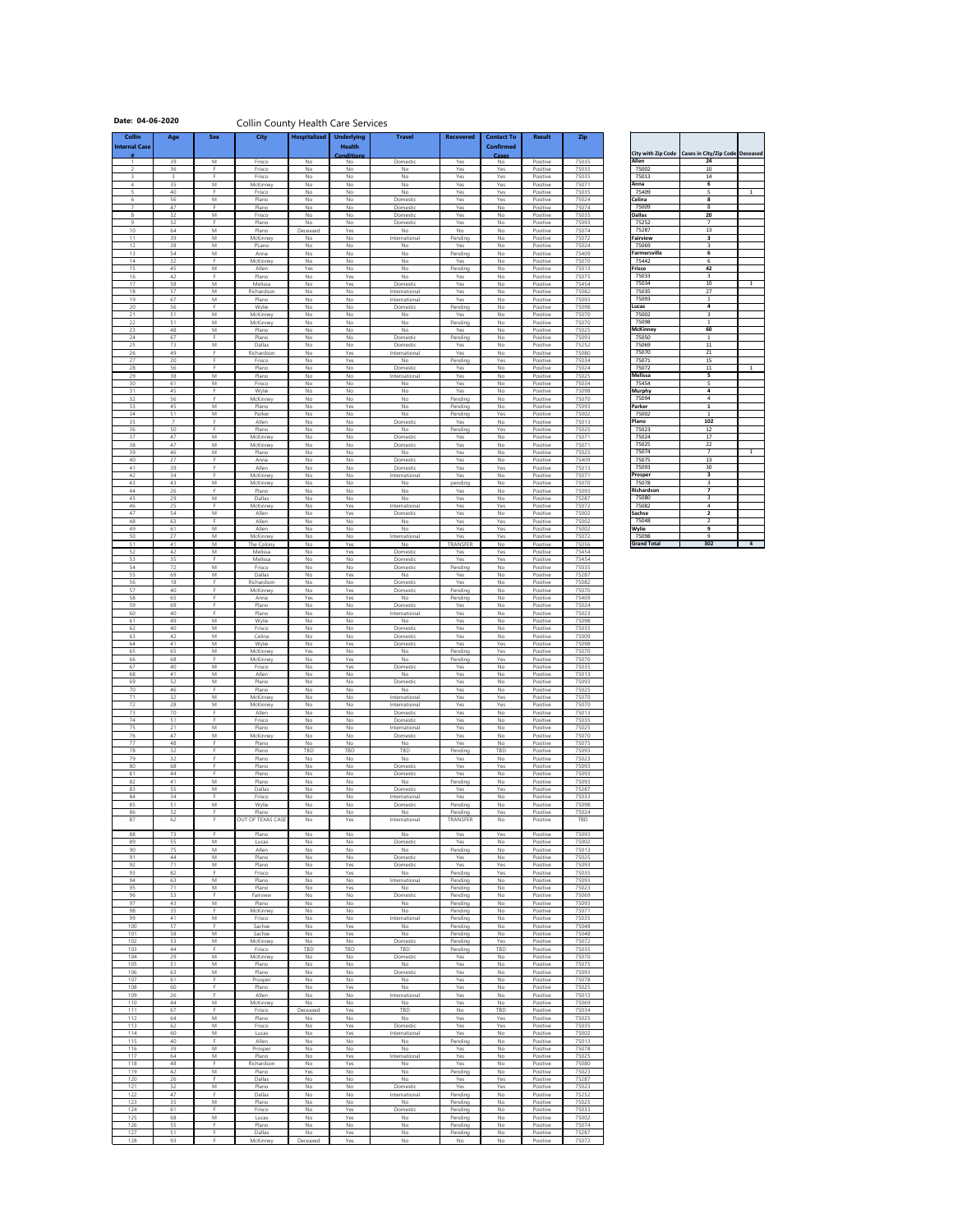## Date: 04-06-2020 **Collin County Health Care Services**

| <b>Collin</b><br><b>Internal Case</b> | Age                  | <b>Sex</b> | <b>City</b>            | Hospitalized   | <b>Underlying</b><br><b>Health</b> | <b>Travel</b>                  | <b>Recovered</b>       | <b>Contact To</b><br><b>Confirmed</b> | <b>Result</b>        | <b>Zip</b>     |                              |                                                              |                |
|---------------------------------------|----------------------|------------|------------------------|----------------|------------------------------------|--------------------------------|------------------------|---------------------------------------|----------------------|----------------|------------------------------|--------------------------------------------------------------|----------------|
|                                       | 39                   | M          | Frisco                 | No             | <b>Conditions</b><br>No            | Domestic                       | Yes                    | Cases<br>No                           | Positive             | 75035          | <b>Allen</b>                 | City with Zip Code   Cases in City/Zip Code   Deceased<br>24 |                |
| $\overline{2}$                        | 36                   | Е.         | Frisco                 | No             | No                                 | No                             | Yes                    | Yes                                   | Positive             | 75035          | 75002                        | 10                                                           |                |
| $\mathcal{E}$                         | $\overline{3}$<br>35 | F.<br>M    | Frisco<br>McKinney     | No<br>No       | No<br>No                           | No<br>No                       | Yes<br>Yes             | Yes<br>Yes                            | Positive<br>Positive | 75035<br>75071 | 75013<br>Anna                | 14<br>$6\phantom{1}6$                                        |                |
| 5<br>6                                | 40<br>56             | F.<br>M    | Frisco<br>Plano        | No<br>No       | No<br>No                           | <b>No</b><br>Domestic          | Yes<br>Yes             | Yes<br>Yes                            | Positive<br>Positive | 75035<br>75024 | 75409<br><b>Celina</b>       | 5<br>8                                                       | $\mathbf{1}$   |
|                                       | 47                   |            | Plano                  | No             | No                                 | Domestic                       | Yes                    | No                                    | Positive             | 75074          | 75009                        | 8                                                            |                |
| 8<br>9                                | 32<br>32             | M<br>F.    | Frisco<br>Plano        | No<br>No       | No<br>No                           | Domestic<br>Domestic           | Yes<br>Yes             | No<br>No                              | Positive<br>Positive | 75035<br>75093 | <b>Dallas</b><br>75252       | 20<br>$\overline{7}$                                         |                |
| 10 <sup>°</sup><br>11                 | 64<br>39             | M<br>M     | Plano<br>McKinney      | Deceased<br>No | Yes<br>No                          | No<br>International            | No<br>Pending          | No<br>No                              | Positive<br>Positive | 75074<br>75072 | 75287<br><b>Fairview</b>     | 13<br>$\overline{\mathbf{3}}$                                |                |
| 12<br>13                              | 38<br>54             | M<br>M     | PLano<br>Anna          | No<br>No       | No<br>No                           | No<br>No                       | Yes<br>Pending         | No<br>No                              | Positive<br>Positive | 75024<br>75409 | 75069<br><b>Farmersville</b> | $\overline{3}$<br>6                                          |                |
| 14                                    | 32                   | F.         | McKinney               | No             | No                                 | No                             | Yes                    | No                                    | Positive             | 75070          | 75442                        | 6                                                            |                |
| 15<br>16                              | 45<br>42             | M<br>F.    | Allen<br>Plano         | Yes<br>No      | No<br>Yes                          | No<br><b>No</b>                | Pending<br>Yes         | No<br>No                              | Positive<br>Positive | 75013<br>75075 | Frisco<br>75033              | 42<br>$\overline{3}$                                         |                |
| 17<br>18                              | 58<br>57             | M<br>M     | Melissa<br>Richardson  | No<br>No       | Yes<br>No                          | Domestic<br>International      | Yes<br>Yes             | No<br>No                              | Positive<br>Positive | 75454<br>75082 | 75034<br>75035               | 10 <sup>°</sup><br>27                                        | -1             |
| 19<br>20                              | 67<br>56             | M<br>F     | Plano<br>Wylie         | No<br>No       | No<br>No                           | International<br>Domestic      | Yes<br>Pending         | No<br>No                              | Positive<br>Positive | 75093<br>75098 | 75093<br>Lucas               | -1<br>4                                                      |                |
| 21                                    | 51                   | M          | McKinney               | No             | No                                 | No                             | Yes                    | No                                    | Positive             | 75070          | 75002                        | $\overline{3}$                                               |                |
| 22<br>23                              | 51<br>48             | M<br>M     | McKinney<br>Plano      | No<br>No       | No<br>No                           | No<br><b>No</b>                | Pending<br>Yes         | No<br>No                              | Positive<br>Positive | 75070<br>75025 | 75098<br><b>McKinney</b>     | $\mathbf{1}$<br>60                                           |                |
| 24<br>25                              | 67<br>73             | F.<br>M    | Plano<br>Dallas        | No<br>No       | No<br>No                           | Domestic<br>Domestic           | Pending<br>Yes         | No<br>No                              | Positive<br>Positive | 75093<br>75252 | 75050<br>75069               | 1<br>11                                                      |                |
| 26<br>27                              | 49<br>20             | F.<br>Е.   | Richardson<br>Frisco   | No<br>No       | Yes<br>Yes                         | International<br>No            | Yes<br>Pending         | No<br>Yes                             | Positive<br>Positive | 75080<br>75034 | 75070<br>75071               | 21<br>15                                                     |                |
| 28                                    | 56                   |            | Plano                  | No             | No                                 | Domestic                       | Yes                    | No                                    | Positive             | 75024          | 75072                        | 11                                                           |                |
| 29<br>30                              | 38<br>61             | M<br>M     | Plano<br>Frisco        | No<br>No       | No<br>No                           | International<br>No            | Yes<br>Yes             | No<br>No                              | Positive<br>Positive | 75025<br>75034 | Melissa<br>75454             | $5\phantom{a}$<br>5                                          |                |
| 31<br>32                              | 45<br>56             | F.<br>F.   | Wylie<br>McKinney      | No<br>No       | No<br>No                           | No<br><b>No</b>                | Yes<br>Pending         | No<br>No                              | Positive<br>Positive | 75098<br>75070 | <b>Murphy</b><br>75094       | $\overline{\mathbf{4}}$<br>$\overline{4}$                    |                |
| 33<br>34                              | 45<br>51             | M<br>M     | Plano<br>Parker        | No<br>No       | Yes<br>No                          | No<br>No                       | Pending<br>Pending     | No<br>Yes                             | Positive<br>Positive | 75093<br>75002 | Parker<br>75002              | $\mathbf{1}$<br>$\mathbf{1}$                                 |                |
| 35                                    | $\overline{7}$       | F.         | Allen                  | No             | No                                 | Domestic                       | Yes                    | No                                    | Positive             | 75013          | Plano                        | 102                                                          |                |
| 36<br>37                              | 50<br>47             | F.<br>M    | Plano<br>McKinney      | No<br>No       | No<br>No                           | No<br>Domestic                 | Pending<br>Yes         | Yes<br>No                             | Positive<br>Positive | 75025<br>75071 | 75023<br>75024               | 12<br>17                                                     |                |
| 38<br>39                              | 47<br>46             | M<br>M     | McKinney<br>Plano      | No<br>No       | No<br>No                           | Domestic<br>No                 | Yes<br>Yes             | No<br>No                              | Positive<br>Positive | 75071<br>75025 | 75025<br>75074               | 22<br>$\overline{7}$                                         | 1              |
| 40                                    | 27                   | F.<br>F.   | Anna                   | No             | No                                 | Domestic                       | Yes                    | No                                    | Positive             | 75409          | 75075                        | 13                                                           |                |
| 41<br>42                              | 39<br>34             | F.         | Allen<br>McKinney      | No<br>No       | No<br>No                           | Domestic<br>International      | Yes<br>Yes             | Yes<br>No                             | Positive<br>Positive | 75013<br>75071 | 75093<br>Prosper             | 30 <sup>°</sup><br>$\overline{\mathbf{3}}$                   |                |
| 43<br>44                              | 43<br>26             | M<br>F.    | McKinney<br>Plano      | No<br>No       | No<br>No                           | No<br>No                       | pending<br>Yes         | No<br>No                              | Positive<br>Positive | 75070<br>75093 | 75078<br>Richardson          | $\overline{3}$<br>$\overline{\mathbf{z}}$                    |                |
| 45<br>46                              | 29<br>25             | M<br>F     | Dallas<br>McKinney     | No<br>No       | No<br>Yes                          | No<br>International            | Yes<br>Yes             | No<br>Yes                             | Positive<br>Positive | 75287<br>75072 | 75080<br>75082               | $\overline{3}$<br>$\overline{4}$                             |                |
| 47<br>48                              | 54<br>63             | M<br>F.    | Allen<br>Allen         | No<br>No       | Yes<br>No                          | Domestic                       | Yes                    | No<br>Yes                             | Positive<br>Positive | 75002<br>75002 | <b>Sachse</b><br>75048       | $\overline{2}$<br>$\overline{2}$                             |                |
| 49                                    | 61                   | M          | Allen                  | No             | No                                 | No<br>No                       | Yes<br>Yes             | Yes                                   | Positive             | 75002          | Wylie                        | 9                                                            |                |
| 50<br>51                              | 27<br>41             | M<br>M     | McKinney<br>The Colony | No<br>No       | No<br>Yes                          | International<br>No            | Yes<br><b>TRANSFER</b> | Yes<br>No                             | Positive<br>Positive | 75072<br>75056 | 75098<br><b>Grand Total</b>  | 9<br>302                                                     | $\overline{4}$ |
| 52<br>53                              | 42<br>35             | M<br>F.    | Melissa<br>Melissa     | No<br>No       | Yes<br>No                          | Domestic<br>Domestic           | Yes<br>Yes             | Yes<br>Yes                            | Positive<br>Positive | 75454<br>75454 |                              |                                                              |                |
| 54<br>55                              | 72<br>69             | M<br>M     | Frisco<br>Dallas       | No<br>No       | No<br>Yes                          | Domestic<br>No                 | Pending<br>Yes         | No<br>No                              | Positive<br>Positive | 75035<br>75287 |                              |                                                              |                |
| 56                                    | 18                   | F.         | Richardson             | No             | No                                 | Domestic                       | Yes                    | No                                    | Positive             | 75082          |                              |                                                              |                |
| 57<br>58                              | 40<br>65             | E.         | McKinney<br>Anna       | No<br>Yes      | Yes<br>Yes                         | Domestic<br>No                 | Pending<br>Pending     | No<br>No                              | Positive<br>Positive | 75070<br>75409 |                              |                                                              |                |
| 59<br>60                              | 69<br>40             | Е.         | Plano<br>Plano         | No<br>No       | No<br>No                           | Domestic<br>International      | Yes<br>Yes             | No<br>No                              | Positive<br>Positive | 75024<br>75023 |                              |                                                              |                |
| 61                                    | 49<br>40             | M          | Wylie                  | No             | No                                 | No                             | Yes                    | No                                    | Positive             | 75098          |                              |                                                              |                |
| 62<br>63                              | 42                   | M<br>M     | Frisco<br>Celina       | No<br>No       | No<br>No                           | Domestic<br>Domestic           | Yes<br>Yes             | No<br>No                              | Positive<br>Positive | 75035<br>75009 |                              |                                                              |                |
| 64<br>65                              | 41<br>65             | M<br>M     | Wylie<br>McKinney      | No<br>Yes      | Yes<br>No                          | Domestic<br>No                 | Yes<br>Pending         | Yes<br>Yes                            | Positive<br>Positive | 75098<br>75070 |                              |                                                              |                |
| 66<br>67                              | 68<br>40             | F.<br>M    | McKinney<br>Frisco     | No<br>No       | Yes<br>Yes                         | No<br>Domestic                 | Pending<br>Yes         | Yes<br>No                             | Positive<br>Positive | 75070<br>75035 |                              |                                                              |                |
| 68                                    | 41                   | M          | Allen                  | No             | No                                 | No                             | Yes                    | No                                    | Positive             | 75013          |                              |                                                              |                |
| 69<br>70                              | 52<br>46             | M<br>F.    | Plano<br>Plano         | No<br>No       | No<br>No                           | Domestic<br>No                 | Yes<br>Yes             | No<br>No                              | Positive<br>Positive | 75093<br>75025 |                              |                                                              |                |
| 71<br>72                              | 32<br>28             | M<br>M     | McKinney<br>McKinney   | No<br>No       | No<br>No                           | International<br>International | Yes<br>Yes             | Yes<br>Yes                            | Positive<br>Positive | 75070<br>75070 |                              |                                                              |                |
| 73<br>74                              | 70<br>51             | F.<br>F    | Allen<br>Frisco        | No<br>No       | No<br>No                           | Domestic<br>Domestic           | Yes<br>Yes             | No<br>No                              | Positive<br>Positive | 75013<br>75035 |                              |                                                              |                |
| 75                                    | 21                   | M          | Plano                  | No             | No                                 | International                  | Yes                    | No                                    | Positive             | 75025          |                              |                                                              |                |
| 76<br>77                              | 47<br>48             | M<br>F.    | McKinney<br>Plano      | No<br>No       | No<br>No                           | Domestic<br>No                 | Yes<br>Yes             | No<br>No                              | Positive<br>Positive | 75070<br>75075 |                              |                                                              |                |
| 78<br>79                              | 32<br>32             | F.<br>F.   | Plano<br>Plano         | TBD<br>No      | TBD<br>No                          | TBD<br>No                      | Pending<br>Yes         | TBD<br>No                             | Positive<br>Positive | 75093<br>75023 |                              |                                                              |                |
| 80<br>81                              | 68<br>44             | F.<br>F    | Plano<br>Plano         | No<br>No       | No<br>No                           | Domestic<br>Domestic           | Yes<br>Yes             | Yes<br>No                             | Positive<br>Positive | 75093<br>75093 |                              |                                                              |                |
| 82<br>83                              | 41<br>55             | M<br>M     | Plano<br>Dallas        | No<br>No       | No<br>No                           | No                             | Pending<br>Yes         | No<br>Yes                             | Positive<br>Positive | 75093<br>75287 |                              |                                                              |                |
| 84                                    | 34                   | F.         | Frisco                 | No             | No                                 | Domestic<br>International      | Yes                    | No                                    | Positive             | 75033          |                              |                                                              |                |
| 85<br>86                              | 51<br>32             | M<br>F.    | Wylie<br>Plano         | No<br>No       | No<br>No                           | Domestic<br>No                 | Pending<br>Pending     | No<br>Yes                             | Positive<br>Positive | 75098<br>75024 |                              |                                                              |                |
| 87                                    | 62                   | F          | OUT OF TEXAS CASE      | No             | Yes                                | International                  | <b>TRANSFER</b>        | No                                    | Positive             | TBD            |                              |                                                              |                |
| 88<br>89                              | 73<br>55             | F.<br>M    | Plano<br>Lucas         | No<br>No       | No<br>No                           | No<br>Domestic                 | Yes<br>Yes             | Yes<br>No                             | Positive<br>Positive | 75093<br>75002 |                              |                                                              |                |
| 90<br>91                              | 75<br>44             | M<br>M     | Allen<br>Plano         | No<br>No       | No<br>No                           | No<br>Domestic                 | Pending<br>Yes         | No<br>No                              | Positive<br>Positive | 75013<br>75025 |                              |                                                              |                |
| 92                                    | 71                   | M          | Plano                  | No             | Yes                                | Domestic                       | Yes                    | Yes                                   | Positive             | 75093          |                              |                                                              |                |
| 93<br>94                              | 82<br>63             | F.<br>M    | Frisco<br>Plano        | No.<br>No      | Yes<br>No                          | No<br>International            | Pending<br>Pending     | Yes<br>No                             | Positive<br>Positive | 75035<br>75093 |                              |                                                              |                |
| 95<br>96                              | 71<br>53             | M<br>F.    | Plano<br>Fairview      | No<br>No       | Yes<br>No                          | No<br>Domestic                 | Pending<br>Pending     | No<br>No                              | Positive<br>Positive | 75023<br>75069 |                              |                                                              |                |
| 97<br>98                              | 43<br>35             | M<br>F.    | Plano<br>McKinney      | No<br>No       | No<br>No                           | No<br>No                       | Pending<br>Pending     | No<br>No                              | Positive<br>Positive | 75093<br>75071 |                              |                                                              |                |
| 99                                    | 41                   | M          | Frisco                 | No             | No                                 | International                  | Pending                | No                                    | Positive             | 75035          |                              |                                                              |                |
| 100<br>101                            | 57<br>58             | F<br>M     | Sachse<br>Sachse       | No<br>No       | Yes<br>Yes                         | No<br>No                       | Pending<br>Pending     | No<br>No                              | Positive<br>Positive | 75048<br>75048 |                              |                                                              |                |
| 102<br>103                            | 53<br>44             | M<br>F.    | McKinney<br>Frisco     | No<br>TBD      | No<br>TBD                          | Domestic<br>TBD                | Pending<br>Pending     | Yes<br>TBD                            | Positive<br>Positive | 75072<br>75035 |                              |                                                              |                |
| 104<br>105                            | 29<br>51             | M<br>M     | McKinney<br>Plano      | No<br>No       | No<br>No                           | Domestic<br>No                 | Yes<br>Yes             | No<br>No                              | Positive<br>Positive | 75070<br>75075 |                              |                                                              |                |
| 106                                   | 63                   | M          | Plano                  | No             | No                                 | Domestic                       | Yes                    | No                                    | Positive             | 75093          |                              |                                                              |                |
| 107<br>108                            | 61<br>60             | F.<br>F.   | Prosper<br>Plano       | No<br>No       | No<br>Yes                          | No<br>No                       | Yes<br>Yes             | No<br>No                              | Positive<br>Positive | 75078<br>75025 |                              |                                                              |                |
| 109<br>110                            | 26<br>44             | F.<br>M    | Allen<br>McKinney      | No<br>No       | No<br>No                           | International<br>No            | Yes<br>Yes             | No<br>No                              | Positive<br>Positive | 75013<br>75069 |                              |                                                              |                |
| 111<br>112                            | 67<br>64             | F.<br>M    | Frisco<br>Plano        | Deceased<br>No | Yes<br>No                          | TBD<br>No                      | No<br>Yes              | TBD<br>Yes                            | Positive<br>Positive | 75034<br>75025 |                              |                                                              |                |
| 113                                   | 62                   | M          | Frisco                 | No             | Yes                                | Domestic                       | Yes                    | Yes                                   | Positive             | 75035          |                              |                                                              |                |
| 114<br>115                            | 60<br>40             | M<br>F.    | Lucas<br>Allen         | No<br>No       | Yes<br>No                          | International<br>No            | Yes<br>Pending         | No<br>No                              | Positive<br>Positive | 75002<br>75013 |                              |                                                              |                |
| 116<br>117                            | 39<br>64             | M<br>M     | Prosper<br>Plano       | No<br>No       | No<br>Yes                          | No<br>International            | Yes<br>Yes             | No<br>No                              | Positive<br>Positive | 75078<br>75025 |                              |                                                              |                |
| 118<br>119                            | 48<br>42             | F.<br>M    | Richardson<br>Plano    | No<br>Yes      | Yes<br>No                          | No<br>No                       | Yes<br>Pending         | No<br>No                              | Positive<br>Positive | 75080<br>75023 |                              |                                                              |                |
| 120                                   | 26                   | F.         | Dallas                 | No             | No                                 | No                             | Yes                    | Yes                                   | Positive             | 75287          |                              |                                                              |                |
| 121<br>122                            | 32<br>47             | M<br>F.    | Plano<br>Dallas        | No<br>No       | No<br>No                           | Domestic<br>International      | Yes<br>Pending         | Yes<br>No                             | Positive<br>Positive | 75023<br>75252 |                              |                                                              |                |
| 123<br>124                            | 35<br>61             | M<br>F.    | Plano<br>Frisco        | No<br>No       | No<br>Yes                          | No<br>Domestic                 | Pending<br>Pending     | No<br>No                              | Positive<br>Positive | 75025<br>75033 |                              |                                                              |                |
| 125<br>126                            | 68<br>55             | M<br>F.    | Lucas<br>Plano         | No<br>No       | Yes<br>No                          | No<br>No                       | Pending<br>Pending     | No<br>No                              | Positive<br>Positive | 75002<br>75074 |                              |                                                              |                |
| 127<br>128                            | 51<br>93             | F.<br>Е.   | Dallas<br>McKinney     | No<br>Deceased | Yes<br>Yes                         | No<br>No                       | Pending<br>No          | No<br>No                              | Positive<br>Positive | 75287<br>75072 |                              |                                                              |                |

| Richardson         |     |  |
|--------------------|-----|--|
| 75080              | 3   |  |
| 75082              |     |  |
| <b>Sachse</b>      | 2   |  |
| 75048              | 2   |  |
| Wylie              | 9   |  |
| 75098              | q   |  |
| <b>Grand Total</b> | 302 |  |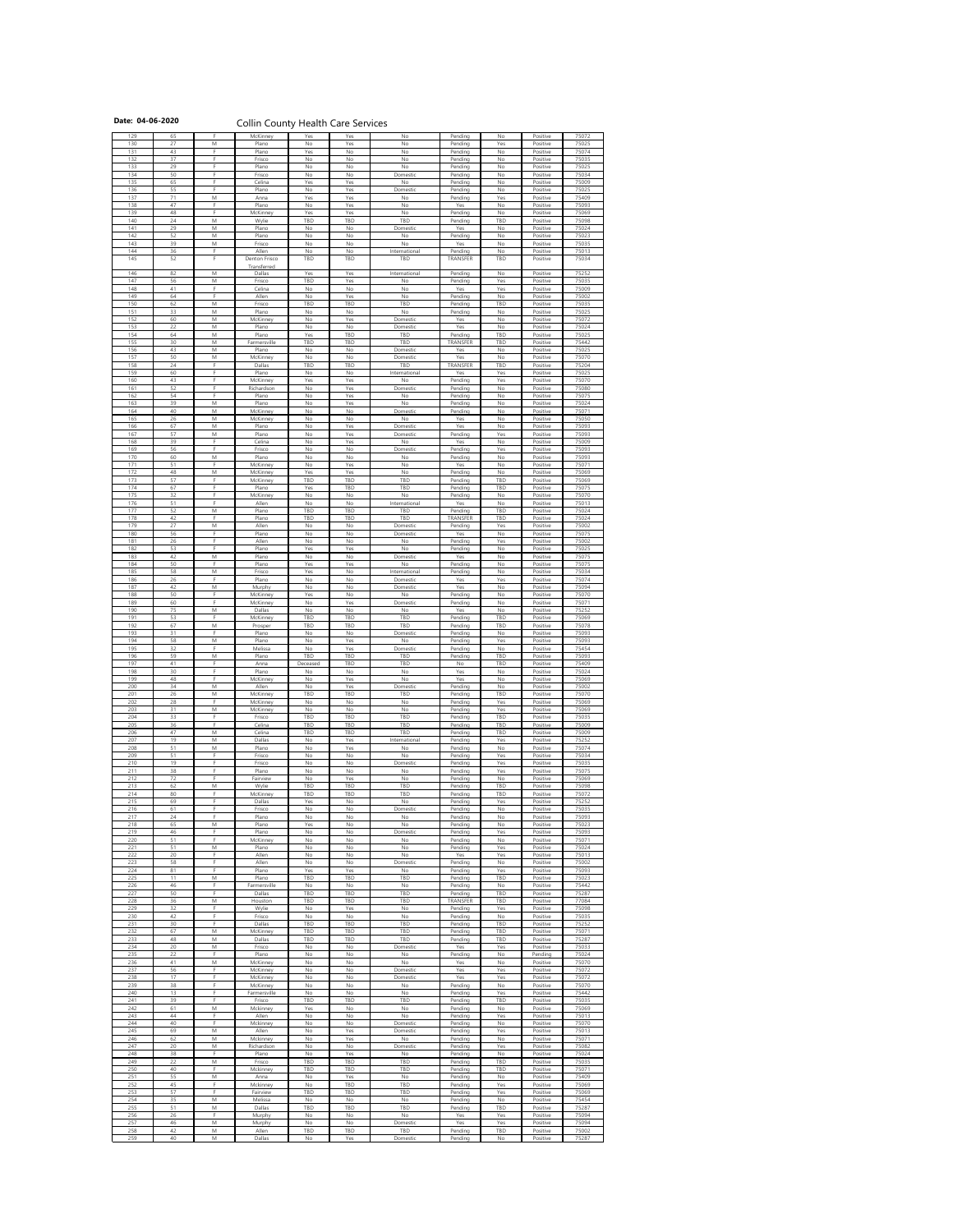# Date: 04-06-2020 **Collin County Health Care Services**

| 27<br>130<br>M<br>Plano<br>No<br>Yes<br>No<br>Pending<br>43<br>131<br>F<br>Plano<br>Yes<br>No<br>No<br>Pending                                                                                                                       |                      | Positive                         |                |
|--------------------------------------------------------------------------------------------------------------------------------------------------------------------------------------------------------------------------------------|----------------------|----------------------------------|----------------|
|                                                                                                                                                                                                                                      | Yes                  | Positive                         | 75025          |
| 37<br>132<br>F.<br>Frisco<br><b>No</b><br>No<br><b>No</b><br>Pending                                                                                                                                                                 | No<br>No             | Positive<br>Positive             | 75074<br>75035 |
| 29<br>E.<br>133<br>No<br>No<br>Plano<br>No<br>Pending                                                                                                                                                                                | No                   | Positive                         | 75025          |
| 50<br>134<br>F.<br>Domestic<br>Pending<br>Frisco<br>No<br>No                                                                                                                                                                         | No                   | Positive                         | 75034          |
| 65<br>135<br>F.<br>Yes<br>Celina<br>Yes<br>No<br>Pending<br>55<br>E.<br>136<br>Yes<br>Domestic<br>Plano<br>No<br>Pending                                                                                                             | No<br>No             | Positive<br>Positive             | 75009<br>75025 |
| 71<br>137<br>M<br>Yes<br>Yes<br>No<br>Pending<br>Anna                                                                                                                                                                                | Yes                  | Positive                         | 75409          |
| 47<br>F.<br>Yes<br>Yes<br>138<br>Plano<br>No<br>No                                                                                                                                                                                   | No                   | Positive                         | 75093          |
| 48<br>E.<br>Yes<br>139<br>Yes<br>No<br>Pending<br>McKinney                                                                                                                                                                           | No                   | Positive                         | 75069          |
| 24<br>M<br><b>TBD</b><br>140<br>TBD<br><b>TBD</b><br>Wylie<br>Pending<br>29<br>M<br>Yes<br>141<br>Plano<br>No<br>No<br>Domestic                                                                                                      | TBD<br>No            | Positive<br>Positive             | 75098<br>75024 |
| 52<br>142<br>M<br>No<br>No<br>Plano<br>No<br>Pending                                                                                                                                                                                 | No                   | Positive                         | 75023          |
| 39<br>143<br>M<br>No<br>No<br>No<br>Yes<br>Frisco                                                                                                                                                                                    | No                   | Positive                         | 75035          |
| 36<br>F<br>Allen<br>144<br>No<br>No<br>International<br>Pending<br>52<br>145<br>F<br>Denton Frisco<br><b>TBD</b><br>TBD<br><b>TBD</b><br><b>TRANSFER</b>                                                                             | No<br><b>TBD</b>     | Positive<br>Positive             | 75013<br>75034 |
| Transferred                                                                                                                                                                                                                          |                      |                                  |                |
| 82<br>146<br>M<br>Yes<br>Yes<br>International<br>Pending<br>Dallas                                                                                                                                                                   | No                   | Positive                         | 75252          |
| 56<br>${\sf M}$<br>147<br>TBD<br>Yes<br>No<br>Frisco<br>Pending<br>41<br>F<br>148<br>Celina<br>No<br>No<br>Yes<br>No                                                                                                                 | Yes<br>Yes           | Positive<br>Positive             | 75035<br>75009 |
| F<br>149<br>64<br>Yes<br>Allen<br>No<br>No<br>Pending                                                                                                                                                                                | No                   | Positive                         | 75002          |
| 62<br>$\mathsf{M}% _{T}=\mathsf{M}_{T}\!\left( a,b\right) ,\ \mathsf{M}_{T}=\mathsf{M}_{T}\!\left( a,b\right) ,$<br>TBD<br><b>TBD</b><br><b>TBD</b><br>150<br>Pending<br>Frisco                                                      | TBD                  | Positive                         | 75035          |
| 33<br>151<br>M<br>No<br>Plano<br>No<br>No<br>Pending<br>60                                                                                                                                                                           | No                   | Positive                         | 75025          |
| M<br>Yes<br>Yes<br>152<br>No<br>Domestic<br>McKinney<br>22<br>153<br>${\sf M}$<br>$\mathsf{No}$<br>Yes<br>Plano<br>No<br>Domestic                                                                                                    | No<br>No             | Positive<br>Positive             | 75072<br>75024 |
| 64<br>154<br>M<br>Plano<br>Yes<br><b>TBD</b><br><b>TBD</b><br>Pending                                                                                                                                                                | TBD                  | Positive                         | 75025          |
| 30<br>155<br>M<br>TBD<br><b>TBD</b><br>TBD<br>Farmersville<br><b>TRANSFER</b>                                                                                                                                                        | TBD                  | Positive                         | 75442          |
| 43<br>156<br>M<br>No<br>Plano<br>No<br>Domestic<br>Yes<br>157<br>50<br>Yes<br>M<br>McKinney<br>No<br>No<br>Domestic                                                                                                                  | No<br>No             | Positive<br>Positive             | 75025<br>75070 |
| 24<br>F<br>158<br><b>TBD</b><br>TBD<br>Dallas<br>TBD<br><b>TRANSFER</b>                                                                                                                                                              | TBD                  | Positive                         | 75204          |
| 60<br>159<br>F<br>No<br>Plano<br>No<br>International<br>Yes                                                                                                                                                                          | Yes                  | Positive                         | 75025          |
| 160<br>43<br>McKinney<br>Yes<br>Yes<br><b>No</b><br>Pending<br>52<br>E.<br>161<br>Yes<br>Richardson<br>No<br>Domestic<br>Pending                                                                                                     | Yes<br>No            | Positive<br>Positive             | 75070<br>75080 |
| 54<br>162<br>E.<br>Yes<br>Plano<br>No<br>No<br>Pending                                                                                                                                                                               | No                   | Positive                         | 75075          |
| 39<br>163<br>M<br>Plano<br>Yes<br>No<br>Pending<br>No                                                                                                                                                                                | No                   | Positive                         | 75024          |
| 40<br>$\mathsf{M}% _{T}=\mathsf{M}_{T}\!\left( a,b\right) ,\ \mathsf{M}_{T}=\mathsf{M}_{T}\!\left( a,b\right) ,$<br>164<br>No<br><b>No</b><br>Domestic<br>Pending<br>McKinney<br>26<br>M<br>165<br>No<br>No<br>No<br>Yes<br>McKinney | No<br>No             | Positive<br>Positive             | 75071<br>75050 |
| 67<br>166<br>M<br>Plano<br>Yes<br>Domestic<br>Yes<br>No                                                                                                                                                                              | No                   | Positive                         | 75093          |
| 57<br>$\mathsf{M}% _{T}=\mathsf{M}_{T}\!\left( a,b\right) ,\ \mathsf{M}_{T}=\mathsf{M}_{T}\!\left( a,b\right) ,$<br>167<br>Plano<br>Yes<br>Pending<br>No<br>Domestic                                                                 | Yes                  | Positive                         | 75093          |
| 39<br>Yes<br>168<br>F.<br>Celina<br>No<br>No<br>Yes<br>56<br>F.<br>169<br>No<br>Frisco<br>No<br>Domestic<br>Pending                                                                                                                  | No<br>Yes            | Positive<br>Positive             | 75009<br>75093 |
| 60<br>M<br>170<br>Plano<br>No<br>No<br>No<br>Pending                                                                                                                                                                                 | No                   | Positive                         | 75093          |
| 51<br>Yes<br>171<br><b>No</b><br>Yes<br>McKinney<br>No                                                                                                                                                                               | No                   | Positive                         | 75071          |
| 48<br>172<br>M<br>McKinney<br>Yes<br>Yes<br>No<br>Pending<br>57<br>173<br>E.<br>TBD<br><b>TBD</b><br><b>TBD</b>                                                                                                                      | No                   | Positive                         | 75069          |
| McKinney<br>Pending<br>67<br>174<br>E.<br><b>TBD</b><br>Plano<br>Yes<br><b>TBD</b><br>Pending                                                                                                                                        | TBD<br>TBD           | Positive<br>Positive             | 75069<br>75075 |
| 32<br>175<br>F.<br>No<br>No<br>No<br>Pending<br>McKinney                                                                                                                                                                             | No                   | Positive                         | 75070          |
| 51<br>176<br>E.<br>Allen<br>No<br>No<br>International<br>Yes                                                                                                                                                                         | No                   | Positive                         | 75013          |
| 52<br>M<br>177<br>TBD<br><b>TBD</b><br>Pending<br>Plano<br><b>TBD</b><br>42<br>F.<br>178<br>TBD<br><b>TBD</b><br><b>TBD</b><br>TRANSFER<br>Plano                                                                                     | TBD<br>TBD           | Positive<br>Positive             | 75024<br>75024 |
| 27<br>179<br>${\sf M}$<br>Allen<br>No<br>No<br>Domestic<br>Pending                                                                                                                                                                   | Yes                  | Positive                         | 75002          |
| 56<br>F<br>180<br>No<br>No<br>Yes<br>Plano<br>Domestic                                                                                                                                                                               | No                   | Positive                         | 75075          |
| 26<br>F<br>181<br>Allen<br>No<br><b>No</b><br>No<br>Pending<br>53<br>E.<br>182<br>Yes<br>No<br>Plano<br>Yes<br>Pending                                                                                                               | Yes<br>No            | Positive<br>Positive             | 75002<br>75025 |
| 42<br>183<br>M<br>Plano<br>No<br>No<br>Domestic<br>Yes                                                                                                                                                                               | No                   | Positive                         | 75075          |
| 50<br>F<br>184<br>Yes<br>Yes<br>No<br>Pending<br>Plano                                                                                                                                                                               | No                   | Positive                         | 75075          |
| 58<br>$\mathsf{M}% _{T}=\mathsf{M}_{T}\!\left( a,b\right) ,\ \mathsf{M}_{T}=\mathsf{M}_{T}\!\left( a,b\right) ,$<br>185<br>No<br>Yes<br>International<br>Frisco<br>Pending<br>26<br>186<br>F<br>Plano<br>No<br>No<br>Yes<br>Domestic | No<br>Yes            | Positive<br>Positive             | 75034<br>75074 |
| 42<br>187<br>$\mathsf{M}% _{T}=\mathsf{M}_{T}\!\left( a,b\right) ,\ \mathsf{M}_{T}=\mathsf{M}_{T}\!\left( a,b\right) ,$<br><b>No</b><br>Yes<br>No<br>Domestic<br>Murphy                                                              | No                   | Positive                         | 75094          |
| 50<br>E.<br>188<br>Yes<br>No<br>No<br>McKinney<br>Pending                                                                                                                                                                            | No                   | Positive                         | 75070          |
|                                                                                                                                                                                                                                      | No                   | Positive                         | 75071<br>75252 |
| 60<br>F<br>189<br>McKinney<br>No<br>Yes<br>Domestic<br>Pending                                                                                                                                                                       |                      |                                  |                |
| 75<br>$\mathsf{M}% _{T}=\mathsf{M}_{T}\!\left( a,b\right) ,\ \mathsf{M}_{T}=\mathsf{M}_{T}\!\left( a,b\right) ,$<br>Dallas<br>Yes<br>190<br>No<br>No<br>No<br>53<br>191<br>F<br><b>TBD</b><br>TBD<br><b>TBD</b>                      | No<br><b>TBD</b>     | Positive<br>Positive             | 75069          |
| <b>McKinney</b><br>Pending<br>67<br>192<br>M<br><b>TBD</b><br><b>TBD</b><br><b>TBD</b><br>Pending<br>Prosper                                                                                                                         | TBD                  | Positive                         | 75078          |
| 31<br>F.<br>193<br>No<br>No<br>Domestic<br>Plano<br>Pending                                                                                                                                                                          | No                   | Positive                         | 75093          |
| 58<br>194<br>${\sf M}$<br>Yes<br>Plano<br>No<br>No<br>Pending<br>32<br>195<br>F<br>Yes<br>Melissa<br>No<br>Domestic                                                                                                                  | Yes<br>No            | Positive                         | 75093<br>75454 |
| Pending<br>59<br>196<br><b>TBD</b><br>M<br>TBD<br><b>TBD</b><br>Plano<br>Pending                                                                                                                                                     | TBD                  | Positive<br>Positive             | 75093          |
| 41<br>E.<br>197<br><b>TBD</b><br><b>TBD</b><br>No<br>Anna<br>Deceased                                                                                                                                                                | TBD                  | Positive                         | 75409          |
| 30<br>198<br>Е<br>No<br>No<br>Yes<br>Plano<br>No<br>F.                                                                                                                                                                               | No                   | Positive                         | 75024          |
| 48<br>199<br>No<br>Yes<br>No<br>Yes<br>McKinney<br>34<br>$\mathsf{M}% _{T}=\mathsf{M}_{T}\!\left( a,b\right) ,\ \mathsf{M}_{T}=\mathsf{M}_{T}\!\left( a,b\right) ,$<br>Yes<br>200<br>Allen<br>No<br>Pending<br>Domestic              | No<br>No             | Positive<br>Positive             | 75069<br>75002 |
| 201<br>26<br>M<br><b>TBD</b><br><b>TBD</b><br><b>TBD</b><br>McKinney<br>Pending                                                                                                                                                      | TBD                  | Positive                         | 75070          |
| 28<br>202<br>F.<br>No<br>No<br>No<br>McKinney<br>Pending                                                                                                                                                                             | Yes                  | Positive                         | 75069          |
| 31<br>203<br>M<br>McKinney<br>No<br>No<br>No<br>Pending<br>33<br>204<br>F.<br><b>TBD</b><br>Frisco<br><b>TBD</b><br><b>TBD</b><br>Pending                                                                                            | Yes<br>TBD           | Positive<br>Positive             | 75069<br>75035 |
| 36<br>E.<br><b>TBD</b><br>205<br>Celina<br>TBD<br><b>TBD</b><br>Pending                                                                                                                                                              | TBD                  | Positive                         | 75009          |
| 206<br>47<br><b>TBD</b><br>M<br>Celina<br>TBD<br><b>TBD</b><br>Pending                                                                                                                                                               | TBD                  | Positive                         | 75009          |
| 19<br>207<br>M<br>No<br>Yes<br>Dallas<br>International<br>Pending<br>51<br>M<br>208<br>Yes<br>Plano<br>No<br>No<br>Pending                                                                                                           | Yes<br>No            | Positive<br>Positive             | 75252<br>75074 |
| 51<br>F.<br>No<br>209<br>No<br>Pending<br>Frisco<br>No                                                                                                                                                                               | Yes                  | Positive                         | 75034          |
| 19<br>210<br>F.<br>Frisco<br>No<br>No<br>Domestic<br>Pending<br>38<br>E.<br>211<br>Plano<br>No<br>No<br>No                                                                                                                           | Yes<br>Yes           | Positive                         | 75035          |
| Pending<br>72<br>E.<br>212<br>Yes<br>No<br>Fairview<br>No<br>Pending                                                                                                                                                                 | No                   | Positive<br>Positive             | 75075<br>75069 |
| 62<br>213<br>${\sf M}$<br>Wylie<br>TBD<br><b>TBD</b><br><b>TBD</b><br>Pending                                                                                                                                                        | TBD                  | Positive                         | 75098          |
| 80<br>E.<br><b>TBD</b><br>214<br><b>TBD</b><br><b>TBD</b><br>Pending<br>McKinney<br>69<br>215<br>F.<br>No<br>Dallas<br>Yes<br>No                                                                                                     | TBD<br>Yes           | Positive<br>Positive             | 75072<br>75252 |
| Pending<br>216<br>61<br>F<br>Frisco<br><b>No</b><br>No<br>Domestic<br>Pending                                                                                                                                                        | No                   | Positive                         | 75035          |
| E.<br>24<br>217<br>No<br>Plano<br>No<br>No<br>Pending                                                                                                                                                                                | No                   | Positive                         | 75093          |
| 65<br>218<br>M<br><b>No</b><br>Plano<br>Yes<br>No<br>Pending<br>46<br>219<br>F<br>Plano<br>No<br><b>No</b><br>Pending<br>Domestic                                                                                                    | No<br>Yes            | Positive<br>Positive             | 75023<br>75093 |
| E.<br>51<br>220<br>$\mathsf{No}$<br>No<br>No<br>Pending<br>McKinney                                                                                                                                                                  | No                   | Positive                         | 75071          |
| 51<br>221<br>M<br>Plano<br>No<br>No<br>Pending<br>No                                                                                                                                                                                 | Yes                  | Positive                         | 75024          |
| 222<br>20<br>F.<br>Allen<br>No<br>Yes<br>No<br>No<br>58<br>223<br>F<br>Allen<br>No<br>No<br>Pending<br>Domestic                                                                                                                      | Yes<br>No            | Positive<br>Positive             | 75013<br>75002 |
| 224<br>81<br>F.<br>Plano<br>Yes<br>Yes<br>No<br>Pending                                                                                                                                                                              | Yes                  | Positive                         | 75093          |
| 225<br>M<br>11<br>Plano<br>TBD<br><b>TBD</b><br><b>TBD</b><br>Pending                                                                                                                                                                | TBD                  | Positive                         | 75023          |
| 46<br>226<br>E.<br>Farmersville<br>No<br>No<br>No<br>Pending<br>227<br>50<br><b>TBD</b><br>F<br>Dallas<br><b>TBD</b><br>TBD<br>Pending                                                                                               | No<br>TBD            | Positive<br>Positive             | 75442<br>75287 |
| 36<br>228<br>M<br>TBD<br><b>TBD</b><br><b>TBD</b><br><b>TRANSFER</b><br>Houston                                                                                                                                                      | TBD                  | Positive                         | 77084          |
| 32<br>229<br>E.<br>Wylie<br>Yes<br>No<br>No<br>Pending<br>F.                                                                                                                                                                         | Yes                  | Positive                         | 75098          |
| 42<br>230<br>Frisco<br>No<br>No<br>Pending<br>No<br>30<br>231<br>F<br><b>TBD</b><br>TBD<br><b>TBD</b><br>Dallas<br>Pending                                                                                                           | No<br><b>TBD</b>     | Positive<br>Positive             | 75035<br>75252 |
| 67<br>M<br>232<br>TBD<br><b>TBD</b><br><b>TBD</b><br>Pending<br>McKinney                                                                                                                                                             | TBD                  | Positive                         | 75071          |
| 233<br>48<br>TBD<br><b>TBD</b><br><b>TBD</b><br>M<br>Dallas<br>Pending                                                                                                                                                               | TBD                  | Positive                         | 75287          |
| 20<br>$\mathsf{M}% _{T}=\mathsf{M}_{T}\!\left( a,b\right) ,\ \mathsf{M}_{T}=\mathsf{M}_{T}\!\left( a,b\right) ,$<br>Yes<br>234<br>Frisco<br>No<br>No<br>Domestic<br>22<br>Е<br>No<br>235<br>Plano<br>No<br>Pending<br>No             | Yes<br>No            | Positive<br>Pending              | 75033<br>75024 |
| 236<br>41<br>M<br>No<br>McKinney<br>No<br>No<br>Yes                                                                                                                                                                                  | No                   | Positive                         | 75070          |
| 56<br>237<br>F.<br>No<br>Domestic<br>Yes<br>McKinney<br>No<br>Е                                                                                                                                                                      | Yes                  | Positive                         | 75072          |
| 238<br>17<br>Yes<br>McKinney<br>No<br>No<br>Domestic<br>38<br>F.<br>239<br>No<br>No<br>McKinney<br>No<br>Pending                                                                                                                     | Yes<br>No            | Positive<br>Positive             | 75072<br>75070 |
| 13<br>Е<br>No<br>No<br>240<br>Farmersville<br>No<br>Pending                                                                                                                                                                          | Yes                  | Positive                         | 75442          |
| 39<br>TBD<br>TBD<br><b>TBD</b><br>241<br>Frisco<br>Pending                                                                                                                                                                           | TBD                  | Positive                         | 75035          |
| 61<br>242<br>M<br>Yes<br>No<br>No<br>Mckinney<br>Pending                                                                                                                                                                             | No                   | Positive                         | 75069          |
| 44<br>243<br>Allen<br>No<br>No<br>No<br>Pending<br>40<br>E.<br>244<br>No<br>No<br>Mckinney<br>Domestic<br>Pending                                                                                                                    | Yes<br>$\mathsf{No}$ | Positive<br>Positive             | 75013<br>75070 |
| 69<br>245<br>M<br>Allen<br>No<br>Yes<br>Domestic<br>Pending                                                                                                                                                                          | Yes                  | Positive                         | 75013          |
| 62<br>246<br>M<br><b>No</b><br>Yes<br>No<br>Mckinney<br>Pending                                                                                                                                                                      | No                   | Positive                         | 75071          |
| 20<br>M<br>247<br>No<br>Domestic<br>Richardson<br>No<br>Pending<br>38<br>F.<br>248<br>Plano<br>No<br>Yes<br>No<br>Pending                                                                                                            | Yes<br>No            | Positive<br>Positive             | 75082<br>75024 |
| 22<br>${\sf M}$<br>249<br>Frisco<br><b>TBD</b><br>TBD<br><b>TBD</b><br>Pending                                                                                                                                                       | TBD                  | Positive                         | 75035          |
| 40<br>250<br>F<br>TBD<br>TBD<br><b>TBD</b><br>Pending<br>Mckinney                                                                                                                                                                    | TBD                  | Positive                         | 75071          |
| 55<br>251<br>${\sf M}$<br>Yes<br>No<br>Anna<br>No<br>Pending<br>45<br>E.<br><b>TBD</b><br><b>TBD</b><br>252<br>No<br>Pending<br>Mckinney                                                                                             | No<br>Yes            | Positive<br>Positive             | 75409<br>75069 |
| 57<br>253<br>F<br>TBD<br><b>TBD</b><br><b>TBD</b><br>Fairview<br>Pending                                                                                                                                                             | Yes                  | Positive                         | 75069          |
| 254<br>35<br>${\sf M}$<br>No<br>Melissa<br>No<br>No<br>Pending                                                                                                                                                                       | No                   | Positive                         | 75454          |
| 51<br>255<br>${\sf M}$<br><b>TBD</b><br><b>TBD</b><br>Dallas<br>TBD<br>Pending<br>256<br>F.<br>No<br>Yes<br>No<br>No                                                                                                                 | TBD<br>Yes           | Positive                         | 75287<br>75094 |
| 26<br>Murphy<br>46<br>257<br>M<br>Yes<br>No<br>No<br>Domestic<br>Murphy<br>42<br>258<br>M<br>Allen<br>TBD<br><b>TBD</b><br>TBD<br>Pending                                                                                            | Yes<br>TBD           | Positive<br>Positive<br>Positive | 75094<br>75002 |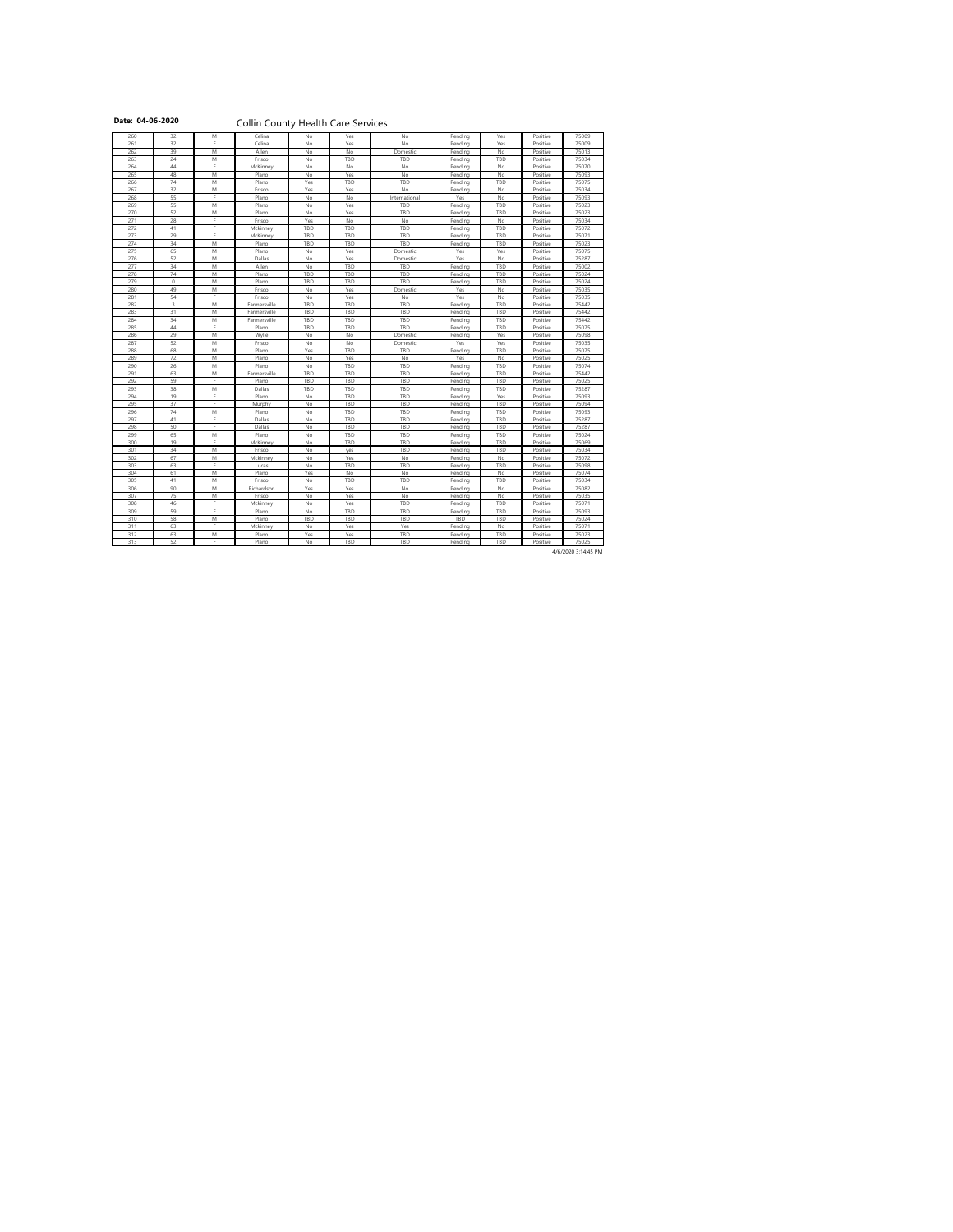# Date: 04-06-2020 **Collin County Health Care Services**

| 32<br>261<br>75009<br>Celina<br>No<br>Yes<br>Positive<br>No<br>Yes<br>Pending<br>39<br>262<br>M<br>No<br>Positive<br>Allen<br>No<br>No<br>Domestic<br>Pending<br>75013<br>263<br>24<br><b>TBD</b><br>TBD<br>TBD<br>75034<br>M<br>Frisco<br>No<br>Pending<br>Positive<br>44<br>E.<br>No<br>75070<br>264<br>No<br>No<br>No<br>Positive<br>McKinney<br>Pending<br>48<br>265<br>M<br>Yes<br>No<br>75093<br>Plano<br>No<br>Pending<br>No<br>Positive<br>74<br>266<br>M<br>Yes<br><b>TBD</b><br><b>TBD</b><br>TBD<br>75075<br>Plano<br>Pending<br>Positive<br>32<br>267<br>M<br>No<br>75034<br>Frisco<br>Yes<br>Yes<br>No<br>Positive<br>Pending<br>55<br>E<br>268<br>No<br>No<br>No<br>75093<br>Plano<br>International<br>Yes<br>Positive<br>55<br>75023<br>269<br>M<br>No<br>Yes<br>TBD<br>Pending<br>TBD<br>Positive<br>Plano<br>52<br>270<br>M<br>Plano<br>No<br>Yes<br><b>TBD</b><br>TBD<br>75023<br>Pending<br>Positive<br>28<br>271<br>75034<br>Frisco<br>Yes<br>No<br>Pending<br>No<br>Positive<br>No<br>41<br>272<br>E.<br>TBD<br><b>TBD</b><br>TBD<br>TBD<br>Positive<br>75072<br>Mckinney<br>Pending<br>29<br>Е<br>273<br>TBD<br>TBD<br>McKinney<br><b>TBD</b><br>TBD<br>75071<br>Pending<br>Positive<br>34<br>274<br>TBD<br><b>TBD</b><br>TBD<br>75023<br>M<br>Plano<br>Pending<br>TBD<br>Positive<br>65<br>M<br>Yes<br>Yes<br>75075<br>275<br>Plano<br>No<br>Yes<br>Positive<br>Domestic<br>52<br>276<br>M<br>Yes<br>Yes<br>No<br>No<br>Positive<br>75287<br>Dallas<br>Domestic<br>34<br>277<br>75002<br>M<br>Allen<br>TBD<br>TBD<br>TBD<br>Positive<br>No<br>Pending<br>74<br>75024<br>278<br>M<br>TBD<br><b>TBD</b><br><b>TBD</b><br>TBD<br>Positive<br>Plano<br>Pending<br>$\mathbf 0$<br>279<br>TBD<br><b>TBD</b><br>TBD<br>TBD<br>M<br>Plano<br>Positive<br>75024<br>Pending<br>280<br>49<br>M<br>Yes<br>75035<br>Frisco<br>No<br>Domestic<br>Yes<br>No<br>Positive<br>54<br>75035<br>281<br>Е<br>Yes<br><b>No</b><br>Yes<br>No<br>Frisco<br>No<br>Positive<br>3<br>282<br>TBD<br><b>TBD</b><br>TBD<br>TBD<br>M<br>Farmersville<br>Pending<br>Positive<br>75442<br>31<br>283<br>TBD<br><b>TBD</b><br>TBD<br>TBD<br>75442<br>M<br>Farmersville<br>Pending<br>Positive<br>34<br>284<br>M<br>TBD<br><b>TBD</b><br>TBD<br>75442<br><b>TBD</b><br>Positive<br>Farmersville<br>Pending<br>44<br>TBD<br>285<br>Plano<br>TBD<br><b>TBD</b><br>TBD<br>75075<br>Pending<br>Positive<br>29<br>286<br>M<br>No<br>No<br>Yes<br>75098<br>Wylie<br>Domestic<br>Positive<br>Pending<br>52<br>287<br>75035<br>M<br>No<br>Yes<br>Yes<br>Positive<br>Frisco<br>No<br>Domestic<br>68<br>288<br>${\sf M}$<br>Yes<br><b>TBD</b><br>TBD<br>TBD<br>75075<br>Plano<br>Pending<br>Positive<br>72<br>289<br>M<br>Plano<br>No<br>Yes<br>No<br>No<br>Positive<br>75025<br>Yes<br>26<br>290<br>M<br><b>TBD</b><br>TBD<br>TBD<br>75074<br>Plano<br>No<br>Pending<br>Positive<br>63<br>291<br>TBD<br>TBD<br>TBD<br>Pending<br><b>TBD</b><br>Positive<br>75442<br>M<br>Farmersville<br>F<br>292<br>59<br>Plano<br>TBD<br>TBD<br><b>TBD</b><br>TBD<br>Positive<br>75025<br>Pending<br>38<br>293<br>${\sf M}$<br>TBD<br>TBD<br>75287<br>TBD<br>Pending<br>TBD<br>Positive<br>Dallas<br>19<br>294<br>TBD<br>Pending<br>Yes<br>Positive<br>75093<br>Plano<br>No<br>TBD<br>37<br>295<br>E.<br>TBD<br><b>TBD</b><br>TBD<br>75094<br>No<br>Pending<br>Positive<br>Murphy<br>74<br>296<br>${\sf M}$<br>Plano<br>No<br>TBD<br>TBD<br>TBD<br>Positive<br>75093<br>Pending<br>297<br>41<br>TBD<br><b>TBD</b><br>Pending<br>TBD<br>Positive<br>75287<br>Dallas<br>No<br>298<br>50<br>E.<br>TBD<br><b>TBD</b><br>TBD<br>75287<br>Dallas<br>No<br>Pending<br>Positive<br>65<br>299<br>M<br>Plano<br>No<br>TBD<br>TBD<br>TBD<br>Positive<br>75024<br>Pending<br>19<br>E<br>300<br>No<br>TBD<br>TBD<br>TBD<br>75069<br>McKinney<br>Pending<br>Positive<br>34<br>301<br>${\sf M}$<br>Frisco<br>No<br>TBD<br>TBD<br>Positive<br>75034<br>Pending<br>yes<br>67<br>302<br>M<br>No<br>Yes<br>No<br>No<br>Positive<br>75072<br>Mckinney<br>Pending<br>63<br>75098<br>303<br>TBD<br>TBD<br>Pending<br>TBD<br>Positive<br>No<br>Lucas<br>61<br>$\mathsf{M}% _{T}=\mathsf{M}_{T}\!\left( a,b\right) ,\ \mathsf{M}_{T}=\mathsf{M}_{T}\!\left( a,b\right) ,$<br>304<br>Yes<br>No<br>No<br>No<br>Positive<br>75074<br>Plano<br>Pending<br>41<br>305<br>M<br>TBD<br>TBD<br>TBD<br>75034<br>Frisco<br>No<br>Pending<br>Positive<br>90<br>306<br>75082<br>M<br>Richardson<br>Yes<br>Yes<br>No<br>Pending<br>No<br>Positive<br>75<br>307<br>$\mathsf{M}% _{T}=\mathsf{M}_{T}\!\left( a,b\right) ,\ \mathsf{M}_{T}=\mathsf{M}_{T}\!\left( a,b\right) ,$<br>Frisco<br>Yes<br>No<br>No<br>75035<br>No<br>Positive<br>Pending<br>46<br>Е<br>308<br>No<br><b>TBD</b><br>TBD<br>75071<br>Mckinney<br>Yes<br>Pending<br>Positive<br>309<br>59<br>75093<br>Plano<br>No<br>TBD<br><b>TBD</b><br>Pending<br>TBD<br>Positive<br>58<br>310<br>${\sf M}$<br>TBD<br>TBD<br><b>TBD</b><br><b>TBD</b><br>TBD<br>Positive<br>75024<br>Plano<br>63<br>311<br>E.<br>No<br>Mckinney<br>No<br>Yes<br>Yes<br>Positive<br>75071<br>Pending<br>312<br>63<br>M<br>Plano<br>Yes<br>Yes<br><b>TBD</b><br>TBD<br>75023<br>Pending<br>Positive<br>52<br>313<br>F.<br>No<br>TBD<br>TBD<br>TBD<br>Positive<br>75025<br>Plano<br>Pending | 260 | 32 | M | Celina | No | Yes | No | Pending | Yes | Positive | 75009 |
|-----------------------------------------------------------------------------------------------------------------------------------------------------------------------------------------------------------------------------------------------------------------------------------------------------------------------------------------------------------------------------------------------------------------------------------------------------------------------------------------------------------------------------------------------------------------------------------------------------------------------------------------------------------------------------------------------------------------------------------------------------------------------------------------------------------------------------------------------------------------------------------------------------------------------------------------------------------------------------------------------------------------------------------------------------------------------------------------------------------------------------------------------------------------------------------------------------------------------------------------------------------------------------------------------------------------------------------------------------------------------------------------------------------------------------------------------------------------------------------------------------------------------------------------------------------------------------------------------------------------------------------------------------------------------------------------------------------------------------------------------------------------------------------------------------------------------------------------------------------------------------------------------------------------------------------------------------------------------------------------------------------------------------------------------------------------------------------------------------------------------------------------------------------------------------------------------------------------------------------------------------------------------------------------------------------------------------------------------------------------------------------------------------------------------------------------------------------------------------------------------------------------------------------------------------------------------------------------------------------------------------------------------------------------------------------------------------------------------------------------------------------------------------------------------------------------------------------------------------------------------------------------------------------------------------------------------------------------------------------------------------------------------------------------------------------------------------------------------------------------------------------------------------------------------------------------------------------------------------------------------------------------------------------------------------------------------------------------------------------------------------------------------------------------------------------------------------------------------------------------------------------------------------------------------------------------------------------------------------------------------------------------------------------------------------------------------------------------------------------------------------------------------------------------------------------------------------------------------------------------------------------------------------------------------------------------------------------------------------------------------------------------------------------------------------------------------------------------------------------------------------------------------------------------------------------------------------------------------------------------------------------------------------------------------------------------------------------------------------------------------------------------------------------------------------------------------------------------------------------------------------------------------------------------------------------------------------------------------------------------------------------------------------------------------------------------------------------------------------------------------------------------------------------------------------------------------------------------------------------------------------------------------------------------------------------------------------------------------------------------------------------------------------------------------------------------------------------------------------------------------------------------------------------------------------------------------------------------------------------------------------|-----|----|---|--------|----|-----|----|---------|-----|----------|-------|
|                                                                                                                                                                                                                                                                                                                                                                                                                                                                                                                                                                                                                                                                                                                                                                                                                                                                                                                                                                                                                                                                                                                                                                                                                                                                                                                                                                                                                                                                                                                                                                                                                                                                                                                                                                                                                                                                                                                                                                                                                                                                                                                                                                                                                                                                                                                                                                                                                                                                                                                                                                                                                                                                                                                                                                                                                                                                                                                                                                                                                                                                                                                                                                                                                                                                                                                                                                                                                                                                                                                                                                                                                                                                                                                                                                                                                                                                                                                                                                                                                                                                                                                                                                                                                                                                                                                                                                                                                                                                                                                                                                                                                                                                                                                                                                                                                                                                                                                                                                                                                                                                                                                                                                                                                                                     |     |    |   |        |    |     |    |         |     |          |       |
|                                                                                                                                                                                                                                                                                                                                                                                                                                                                                                                                                                                                                                                                                                                                                                                                                                                                                                                                                                                                                                                                                                                                                                                                                                                                                                                                                                                                                                                                                                                                                                                                                                                                                                                                                                                                                                                                                                                                                                                                                                                                                                                                                                                                                                                                                                                                                                                                                                                                                                                                                                                                                                                                                                                                                                                                                                                                                                                                                                                                                                                                                                                                                                                                                                                                                                                                                                                                                                                                                                                                                                                                                                                                                                                                                                                                                                                                                                                                                                                                                                                                                                                                                                                                                                                                                                                                                                                                                                                                                                                                                                                                                                                                                                                                                                                                                                                                                                                                                                                                                                                                                                                                                                                                                                                     |     |    |   |        |    |     |    |         |     |          |       |
|                                                                                                                                                                                                                                                                                                                                                                                                                                                                                                                                                                                                                                                                                                                                                                                                                                                                                                                                                                                                                                                                                                                                                                                                                                                                                                                                                                                                                                                                                                                                                                                                                                                                                                                                                                                                                                                                                                                                                                                                                                                                                                                                                                                                                                                                                                                                                                                                                                                                                                                                                                                                                                                                                                                                                                                                                                                                                                                                                                                                                                                                                                                                                                                                                                                                                                                                                                                                                                                                                                                                                                                                                                                                                                                                                                                                                                                                                                                                                                                                                                                                                                                                                                                                                                                                                                                                                                                                                                                                                                                                                                                                                                                                                                                                                                                                                                                                                                                                                                                                                                                                                                                                                                                                                                                     |     |    |   |        |    |     |    |         |     |          |       |
|                                                                                                                                                                                                                                                                                                                                                                                                                                                                                                                                                                                                                                                                                                                                                                                                                                                                                                                                                                                                                                                                                                                                                                                                                                                                                                                                                                                                                                                                                                                                                                                                                                                                                                                                                                                                                                                                                                                                                                                                                                                                                                                                                                                                                                                                                                                                                                                                                                                                                                                                                                                                                                                                                                                                                                                                                                                                                                                                                                                                                                                                                                                                                                                                                                                                                                                                                                                                                                                                                                                                                                                                                                                                                                                                                                                                                                                                                                                                                                                                                                                                                                                                                                                                                                                                                                                                                                                                                                                                                                                                                                                                                                                                                                                                                                                                                                                                                                                                                                                                                                                                                                                                                                                                                                                     |     |    |   |        |    |     |    |         |     |          |       |
|                                                                                                                                                                                                                                                                                                                                                                                                                                                                                                                                                                                                                                                                                                                                                                                                                                                                                                                                                                                                                                                                                                                                                                                                                                                                                                                                                                                                                                                                                                                                                                                                                                                                                                                                                                                                                                                                                                                                                                                                                                                                                                                                                                                                                                                                                                                                                                                                                                                                                                                                                                                                                                                                                                                                                                                                                                                                                                                                                                                                                                                                                                                                                                                                                                                                                                                                                                                                                                                                                                                                                                                                                                                                                                                                                                                                                                                                                                                                                                                                                                                                                                                                                                                                                                                                                                                                                                                                                                                                                                                                                                                                                                                                                                                                                                                                                                                                                                                                                                                                                                                                                                                                                                                                                                                     |     |    |   |        |    |     |    |         |     |          |       |
|                                                                                                                                                                                                                                                                                                                                                                                                                                                                                                                                                                                                                                                                                                                                                                                                                                                                                                                                                                                                                                                                                                                                                                                                                                                                                                                                                                                                                                                                                                                                                                                                                                                                                                                                                                                                                                                                                                                                                                                                                                                                                                                                                                                                                                                                                                                                                                                                                                                                                                                                                                                                                                                                                                                                                                                                                                                                                                                                                                                                                                                                                                                                                                                                                                                                                                                                                                                                                                                                                                                                                                                                                                                                                                                                                                                                                                                                                                                                                                                                                                                                                                                                                                                                                                                                                                                                                                                                                                                                                                                                                                                                                                                                                                                                                                                                                                                                                                                                                                                                                                                                                                                                                                                                                                                     |     |    |   |        |    |     |    |         |     |          |       |
|                                                                                                                                                                                                                                                                                                                                                                                                                                                                                                                                                                                                                                                                                                                                                                                                                                                                                                                                                                                                                                                                                                                                                                                                                                                                                                                                                                                                                                                                                                                                                                                                                                                                                                                                                                                                                                                                                                                                                                                                                                                                                                                                                                                                                                                                                                                                                                                                                                                                                                                                                                                                                                                                                                                                                                                                                                                                                                                                                                                                                                                                                                                                                                                                                                                                                                                                                                                                                                                                                                                                                                                                                                                                                                                                                                                                                                                                                                                                                                                                                                                                                                                                                                                                                                                                                                                                                                                                                                                                                                                                                                                                                                                                                                                                                                                                                                                                                                                                                                                                                                                                                                                                                                                                                                                     |     |    |   |        |    |     |    |         |     |          |       |
|                                                                                                                                                                                                                                                                                                                                                                                                                                                                                                                                                                                                                                                                                                                                                                                                                                                                                                                                                                                                                                                                                                                                                                                                                                                                                                                                                                                                                                                                                                                                                                                                                                                                                                                                                                                                                                                                                                                                                                                                                                                                                                                                                                                                                                                                                                                                                                                                                                                                                                                                                                                                                                                                                                                                                                                                                                                                                                                                                                                                                                                                                                                                                                                                                                                                                                                                                                                                                                                                                                                                                                                                                                                                                                                                                                                                                                                                                                                                                                                                                                                                                                                                                                                                                                                                                                                                                                                                                                                                                                                                                                                                                                                                                                                                                                                                                                                                                                                                                                                                                                                                                                                                                                                                                                                     |     |    |   |        |    |     |    |         |     |          |       |
|                                                                                                                                                                                                                                                                                                                                                                                                                                                                                                                                                                                                                                                                                                                                                                                                                                                                                                                                                                                                                                                                                                                                                                                                                                                                                                                                                                                                                                                                                                                                                                                                                                                                                                                                                                                                                                                                                                                                                                                                                                                                                                                                                                                                                                                                                                                                                                                                                                                                                                                                                                                                                                                                                                                                                                                                                                                                                                                                                                                                                                                                                                                                                                                                                                                                                                                                                                                                                                                                                                                                                                                                                                                                                                                                                                                                                                                                                                                                                                                                                                                                                                                                                                                                                                                                                                                                                                                                                                                                                                                                                                                                                                                                                                                                                                                                                                                                                                                                                                                                                                                                                                                                                                                                                                                     |     |    |   |        |    |     |    |         |     |          |       |
|                                                                                                                                                                                                                                                                                                                                                                                                                                                                                                                                                                                                                                                                                                                                                                                                                                                                                                                                                                                                                                                                                                                                                                                                                                                                                                                                                                                                                                                                                                                                                                                                                                                                                                                                                                                                                                                                                                                                                                                                                                                                                                                                                                                                                                                                                                                                                                                                                                                                                                                                                                                                                                                                                                                                                                                                                                                                                                                                                                                                                                                                                                                                                                                                                                                                                                                                                                                                                                                                                                                                                                                                                                                                                                                                                                                                                                                                                                                                                                                                                                                                                                                                                                                                                                                                                                                                                                                                                                                                                                                                                                                                                                                                                                                                                                                                                                                                                                                                                                                                                                                                                                                                                                                                                                                     |     |    |   |        |    |     |    |         |     |          |       |
|                                                                                                                                                                                                                                                                                                                                                                                                                                                                                                                                                                                                                                                                                                                                                                                                                                                                                                                                                                                                                                                                                                                                                                                                                                                                                                                                                                                                                                                                                                                                                                                                                                                                                                                                                                                                                                                                                                                                                                                                                                                                                                                                                                                                                                                                                                                                                                                                                                                                                                                                                                                                                                                                                                                                                                                                                                                                                                                                                                                                                                                                                                                                                                                                                                                                                                                                                                                                                                                                                                                                                                                                                                                                                                                                                                                                                                                                                                                                                                                                                                                                                                                                                                                                                                                                                                                                                                                                                                                                                                                                                                                                                                                                                                                                                                                                                                                                                                                                                                                                                                                                                                                                                                                                                                                     |     |    |   |        |    |     |    |         |     |          |       |
|                                                                                                                                                                                                                                                                                                                                                                                                                                                                                                                                                                                                                                                                                                                                                                                                                                                                                                                                                                                                                                                                                                                                                                                                                                                                                                                                                                                                                                                                                                                                                                                                                                                                                                                                                                                                                                                                                                                                                                                                                                                                                                                                                                                                                                                                                                                                                                                                                                                                                                                                                                                                                                                                                                                                                                                                                                                                                                                                                                                                                                                                                                                                                                                                                                                                                                                                                                                                                                                                                                                                                                                                                                                                                                                                                                                                                                                                                                                                                                                                                                                                                                                                                                                                                                                                                                                                                                                                                                                                                                                                                                                                                                                                                                                                                                                                                                                                                                                                                                                                                                                                                                                                                                                                                                                     |     |    |   |        |    |     |    |         |     |          |       |
|                                                                                                                                                                                                                                                                                                                                                                                                                                                                                                                                                                                                                                                                                                                                                                                                                                                                                                                                                                                                                                                                                                                                                                                                                                                                                                                                                                                                                                                                                                                                                                                                                                                                                                                                                                                                                                                                                                                                                                                                                                                                                                                                                                                                                                                                                                                                                                                                                                                                                                                                                                                                                                                                                                                                                                                                                                                                                                                                                                                                                                                                                                                                                                                                                                                                                                                                                                                                                                                                                                                                                                                                                                                                                                                                                                                                                                                                                                                                                                                                                                                                                                                                                                                                                                                                                                                                                                                                                                                                                                                                                                                                                                                                                                                                                                                                                                                                                                                                                                                                                                                                                                                                                                                                                                                     |     |    |   |        |    |     |    |         |     |          |       |
|                                                                                                                                                                                                                                                                                                                                                                                                                                                                                                                                                                                                                                                                                                                                                                                                                                                                                                                                                                                                                                                                                                                                                                                                                                                                                                                                                                                                                                                                                                                                                                                                                                                                                                                                                                                                                                                                                                                                                                                                                                                                                                                                                                                                                                                                                                                                                                                                                                                                                                                                                                                                                                                                                                                                                                                                                                                                                                                                                                                                                                                                                                                                                                                                                                                                                                                                                                                                                                                                                                                                                                                                                                                                                                                                                                                                                                                                                                                                                                                                                                                                                                                                                                                                                                                                                                                                                                                                                                                                                                                                                                                                                                                                                                                                                                                                                                                                                                                                                                                                                                                                                                                                                                                                                                                     |     |    |   |        |    |     |    |         |     |          |       |
|                                                                                                                                                                                                                                                                                                                                                                                                                                                                                                                                                                                                                                                                                                                                                                                                                                                                                                                                                                                                                                                                                                                                                                                                                                                                                                                                                                                                                                                                                                                                                                                                                                                                                                                                                                                                                                                                                                                                                                                                                                                                                                                                                                                                                                                                                                                                                                                                                                                                                                                                                                                                                                                                                                                                                                                                                                                                                                                                                                                                                                                                                                                                                                                                                                                                                                                                                                                                                                                                                                                                                                                                                                                                                                                                                                                                                                                                                                                                                                                                                                                                                                                                                                                                                                                                                                                                                                                                                                                                                                                                                                                                                                                                                                                                                                                                                                                                                                                                                                                                                                                                                                                                                                                                                                                     |     |    |   |        |    |     |    |         |     |          |       |
|                                                                                                                                                                                                                                                                                                                                                                                                                                                                                                                                                                                                                                                                                                                                                                                                                                                                                                                                                                                                                                                                                                                                                                                                                                                                                                                                                                                                                                                                                                                                                                                                                                                                                                                                                                                                                                                                                                                                                                                                                                                                                                                                                                                                                                                                                                                                                                                                                                                                                                                                                                                                                                                                                                                                                                                                                                                                                                                                                                                                                                                                                                                                                                                                                                                                                                                                                                                                                                                                                                                                                                                                                                                                                                                                                                                                                                                                                                                                                                                                                                                                                                                                                                                                                                                                                                                                                                                                                                                                                                                                                                                                                                                                                                                                                                                                                                                                                                                                                                                                                                                                                                                                                                                                                                                     |     |    |   |        |    |     |    |         |     |          |       |
|                                                                                                                                                                                                                                                                                                                                                                                                                                                                                                                                                                                                                                                                                                                                                                                                                                                                                                                                                                                                                                                                                                                                                                                                                                                                                                                                                                                                                                                                                                                                                                                                                                                                                                                                                                                                                                                                                                                                                                                                                                                                                                                                                                                                                                                                                                                                                                                                                                                                                                                                                                                                                                                                                                                                                                                                                                                                                                                                                                                                                                                                                                                                                                                                                                                                                                                                                                                                                                                                                                                                                                                                                                                                                                                                                                                                                                                                                                                                                                                                                                                                                                                                                                                                                                                                                                                                                                                                                                                                                                                                                                                                                                                                                                                                                                                                                                                                                                                                                                                                                                                                                                                                                                                                                                                     |     |    |   |        |    |     |    |         |     |          |       |
|                                                                                                                                                                                                                                                                                                                                                                                                                                                                                                                                                                                                                                                                                                                                                                                                                                                                                                                                                                                                                                                                                                                                                                                                                                                                                                                                                                                                                                                                                                                                                                                                                                                                                                                                                                                                                                                                                                                                                                                                                                                                                                                                                                                                                                                                                                                                                                                                                                                                                                                                                                                                                                                                                                                                                                                                                                                                                                                                                                                                                                                                                                                                                                                                                                                                                                                                                                                                                                                                                                                                                                                                                                                                                                                                                                                                                                                                                                                                                                                                                                                                                                                                                                                                                                                                                                                                                                                                                                                                                                                                                                                                                                                                                                                                                                                                                                                                                                                                                                                                                                                                                                                                                                                                                                                     |     |    |   |        |    |     |    |         |     |          |       |
|                                                                                                                                                                                                                                                                                                                                                                                                                                                                                                                                                                                                                                                                                                                                                                                                                                                                                                                                                                                                                                                                                                                                                                                                                                                                                                                                                                                                                                                                                                                                                                                                                                                                                                                                                                                                                                                                                                                                                                                                                                                                                                                                                                                                                                                                                                                                                                                                                                                                                                                                                                                                                                                                                                                                                                                                                                                                                                                                                                                                                                                                                                                                                                                                                                                                                                                                                                                                                                                                                                                                                                                                                                                                                                                                                                                                                                                                                                                                                                                                                                                                                                                                                                                                                                                                                                                                                                                                                                                                                                                                                                                                                                                                                                                                                                                                                                                                                                                                                                                                                                                                                                                                                                                                                                                     |     |    |   |        |    |     |    |         |     |          |       |
|                                                                                                                                                                                                                                                                                                                                                                                                                                                                                                                                                                                                                                                                                                                                                                                                                                                                                                                                                                                                                                                                                                                                                                                                                                                                                                                                                                                                                                                                                                                                                                                                                                                                                                                                                                                                                                                                                                                                                                                                                                                                                                                                                                                                                                                                                                                                                                                                                                                                                                                                                                                                                                                                                                                                                                                                                                                                                                                                                                                                                                                                                                                                                                                                                                                                                                                                                                                                                                                                                                                                                                                                                                                                                                                                                                                                                                                                                                                                                                                                                                                                                                                                                                                                                                                                                                                                                                                                                                                                                                                                                                                                                                                                                                                                                                                                                                                                                                                                                                                                                                                                                                                                                                                                                                                     |     |    |   |        |    |     |    |         |     |          |       |
|                                                                                                                                                                                                                                                                                                                                                                                                                                                                                                                                                                                                                                                                                                                                                                                                                                                                                                                                                                                                                                                                                                                                                                                                                                                                                                                                                                                                                                                                                                                                                                                                                                                                                                                                                                                                                                                                                                                                                                                                                                                                                                                                                                                                                                                                                                                                                                                                                                                                                                                                                                                                                                                                                                                                                                                                                                                                                                                                                                                                                                                                                                                                                                                                                                                                                                                                                                                                                                                                                                                                                                                                                                                                                                                                                                                                                                                                                                                                                                                                                                                                                                                                                                                                                                                                                                                                                                                                                                                                                                                                                                                                                                                                                                                                                                                                                                                                                                                                                                                                                                                                                                                                                                                                                                                     |     |    |   |        |    |     |    |         |     |          |       |
|                                                                                                                                                                                                                                                                                                                                                                                                                                                                                                                                                                                                                                                                                                                                                                                                                                                                                                                                                                                                                                                                                                                                                                                                                                                                                                                                                                                                                                                                                                                                                                                                                                                                                                                                                                                                                                                                                                                                                                                                                                                                                                                                                                                                                                                                                                                                                                                                                                                                                                                                                                                                                                                                                                                                                                                                                                                                                                                                                                                                                                                                                                                                                                                                                                                                                                                                                                                                                                                                                                                                                                                                                                                                                                                                                                                                                                                                                                                                                                                                                                                                                                                                                                                                                                                                                                                                                                                                                                                                                                                                                                                                                                                                                                                                                                                                                                                                                                                                                                                                                                                                                                                                                                                                                                                     |     |    |   |        |    |     |    |         |     |          |       |
|                                                                                                                                                                                                                                                                                                                                                                                                                                                                                                                                                                                                                                                                                                                                                                                                                                                                                                                                                                                                                                                                                                                                                                                                                                                                                                                                                                                                                                                                                                                                                                                                                                                                                                                                                                                                                                                                                                                                                                                                                                                                                                                                                                                                                                                                                                                                                                                                                                                                                                                                                                                                                                                                                                                                                                                                                                                                                                                                                                                                                                                                                                                                                                                                                                                                                                                                                                                                                                                                                                                                                                                                                                                                                                                                                                                                                                                                                                                                                                                                                                                                                                                                                                                                                                                                                                                                                                                                                                                                                                                                                                                                                                                                                                                                                                                                                                                                                                                                                                                                                                                                                                                                                                                                                                                     |     |    |   |        |    |     |    |         |     |          |       |
|                                                                                                                                                                                                                                                                                                                                                                                                                                                                                                                                                                                                                                                                                                                                                                                                                                                                                                                                                                                                                                                                                                                                                                                                                                                                                                                                                                                                                                                                                                                                                                                                                                                                                                                                                                                                                                                                                                                                                                                                                                                                                                                                                                                                                                                                                                                                                                                                                                                                                                                                                                                                                                                                                                                                                                                                                                                                                                                                                                                                                                                                                                                                                                                                                                                                                                                                                                                                                                                                                                                                                                                                                                                                                                                                                                                                                                                                                                                                                                                                                                                                                                                                                                                                                                                                                                                                                                                                                                                                                                                                                                                                                                                                                                                                                                                                                                                                                                                                                                                                                                                                                                                                                                                                                                                     |     |    |   |        |    |     |    |         |     |          |       |
|                                                                                                                                                                                                                                                                                                                                                                                                                                                                                                                                                                                                                                                                                                                                                                                                                                                                                                                                                                                                                                                                                                                                                                                                                                                                                                                                                                                                                                                                                                                                                                                                                                                                                                                                                                                                                                                                                                                                                                                                                                                                                                                                                                                                                                                                                                                                                                                                                                                                                                                                                                                                                                                                                                                                                                                                                                                                                                                                                                                                                                                                                                                                                                                                                                                                                                                                                                                                                                                                                                                                                                                                                                                                                                                                                                                                                                                                                                                                                                                                                                                                                                                                                                                                                                                                                                                                                                                                                                                                                                                                                                                                                                                                                                                                                                                                                                                                                                                                                                                                                                                                                                                                                                                                                                                     |     |    |   |        |    |     |    |         |     |          |       |
|                                                                                                                                                                                                                                                                                                                                                                                                                                                                                                                                                                                                                                                                                                                                                                                                                                                                                                                                                                                                                                                                                                                                                                                                                                                                                                                                                                                                                                                                                                                                                                                                                                                                                                                                                                                                                                                                                                                                                                                                                                                                                                                                                                                                                                                                                                                                                                                                                                                                                                                                                                                                                                                                                                                                                                                                                                                                                                                                                                                                                                                                                                                                                                                                                                                                                                                                                                                                                                                                                                                                                                                                                                                                                                                                                                                                                                                                                                                                                                                                                                                                                                                                                                                                                                                                                                                                                                                                                                                                                                                                                                                                                                                                                                                                                                                                                                                                                                                                                                                                                                                                                                                                                                                                                                                     |     |    |   |        |    |     |    |         |     |          |       |
|                                                                                                                                                                                                                                                                                                                                                                                                                                                                                                                                                                                                                                                                                                                                                                                                                                                                                                                                                                                                                                                                                                                                                                                                                                                                                                                                                                                                                                                                                                                                                                                                                                                                                                                                                                                                                                                                                                                                                                                                                                                                                                                                                                                                                                                                                                                                                                                                                                                                                                                                                                                                                                                                                                                                                                                                                                                                                                                                                                                                                                                                                                                                                                                                                                                                                                                                                                                                                                                                                                                                                                                                                                                                                                                                                                                                                                                                                                                                                                                                                                                                                                                                                                                                                                                                                                                                                                                                                                                                                                                                                                                                                                                                                                                                                                                                                                                                                                                                                                                                                                                                                                                                                                                                                                                     |     |    |   |        |    |     |    |         |     |          |       |
|                                                                                                                                                                                                                                                                                                                                                                                                                                                                                                                                                                                                                                                                                                                                                                                                                                                                                                                                                                                                                                                                                                                                                                                                                                                                                                                                                                                                                                                                                                                                                                                                                                                                                                                                                                                                                                                                                                                                                                                                                                                                                                                                                                                                                                                                                                                                                                                                                                                                                                                                                                                                                                                                                                                                                                                                                                                                                                                                                                                                                                                                                                                                                                                                                                                                                                                                                                                                                                                                                                                                                                                                                                                                                                                                                                                                                                                                                                                                                                                                                                                                                                                                                                                                                                                                                                                                                                                                                                                                                                                                                                                                                                                                                                                                                                                                                                                                                                                                                                                                                                                                                                                                                                                                                                                     |     |    |   |        |    |     |    |         |     |          |       |
|                                                                                                                                                                                                                                                                                                                                                                                                                                                                                                                                                                                                                                                                                                                                                                                                                                                                                                                                                                                                                                                                                                                                                                                                                                                                                                                                                                                                                                                                                                                                                                                                                                                                                                                                                                                                                                                                                                                                                                                                                                                                                                                                                                                                                                                                                                                                                                                                                                                                                                                                                                                                                                                                                                                                                                                                                                                                                                                                                                                                                                                                                                                                                                                                                                                                                                                                                                                                                                                                                                                                                                                                                                                                                                                                                                                                                                                                                                                                                                                                                                                                                                                                                                                                                                                                                                                                                                                                                                                                                                                                                                                                                                                                                                                                                                                                                                                                                                                                                                                                                                                                                                                                                                                                                                                     |     |    |   |        |    |     |    |         |     |          |       |
|                                                                                                                                                                                                                                                                                                                                                                                                                                                                                                                                                                                                                                                                                                                                                                                                                                                                                                                                                                                                                                                                                                                                                                                                                                                                                                                                                                                                                                                                                                                                                                                                                                                                                                                                                                                                                                                                                                                                                                                                                                                                                                                                                                                                                                                                                                                                                                                                                                                                                                                                                                                                                                                                                                                                                                                                                                                                                                                                                                                                                                                                                                                                                                                                                                                                                                                                                                                                                                                                                                                                                                                                                                                                                                                                                                                                                                                                                                                                                                                                                                                                                                                                                                                                                                                                                                                                                                                                                                                                                                                                                                                                                                                                                                                                                                                                                                                                                                                                                                                                                                                                                                                                                                                                                                                     |     |    |   |        |    |     |    |         |     |          |       |
|                                                                                                                                                                                                                                                                                                                                                                                                                                                                                                                                                                                                                                                                                                                                                                                                                                                                                                                                                                                                                                                                                                                                                                                                                                                                                                                                                                                                                                                                                                                                                                                                                                                                                                                                                                                                                                                                                                                                                                                                                                                                                                                                                                                                                                                                                                                                                                                                                                                                                                                                                                                                                                                                                                                                                                                                                                                                                                                                                                                                                                                                                                                                                                                                                                                                                                                                                                                                                                                                                                                                                                                                                                                                                                                                                                                                                                                                                                                                                                                                                                                                                                                                                                                                                                                                                                                                                                                                                                                                                                                                                                                                                                                                                                                                                                                                                                                                                                                                                                                                                                                                                                                                                                                                                                                     |     |    |   |        |    |     |    |         |     |          |       |
|                                                                                                                                                                                                                                                                                                                                                                                                                                                                                                                                                                                                                                                                                                                                                                                                                                                                                                                                                                                                                                                                                                                                                                                                                                                                                                                                                                                                                                                                                                                                                                                                                                                                                                                                                                                                                                                                                                                                                                                                                                                                                                                                                                                                                                                                                                                                                                                                                                                                                                                                                                                                                                                                                                                                                                                                                                                                                                                                                                                                                                                                                                                                                                                                                                                                                                                                                                                                                                                                                                                                                                                                                                                                                                                                                                                                                                                                                                                                                                                                                                                                                                                                                                                                                                                                                                                                                                                                                                                                                                                                                                                                                                                                                                                                                                                                                                                                                                                                                                                                                                                                                                                                                                                                                                                     |     |    |   |        |    |     |    |         |     |          |       |
|                                                                                                                                                                                                                                                                                                                                                                                                                                                                                                                                                                                                                                                                                                                                                                                                                                                                                                                                                                                                                                                                                                                                                                                                                                                                                                                                                                                                                                                                                                                                                                                                                                                                                                                                                                                                                                                                                                                                                                                                                                                                                                                                                                                                                                                                                                                                                                                                                                                                                                                                                                                                                                                                                                                                                                                                                                                                                                                                                                                                                                                                                                                                                                                                                                                                                                                                                                                                                                                                                                                                                                                                                                                                                                                                                                                                                                                                                                                                                                                                                                                                                                                                                                                                                                                                                                                                                                                                                                                                                                                                                                                                                                                                                                                                                                                                                                                                                                                                                                                                                                                                                                                                                                                                                                                     |     |    |   |        |    |     |    |         |     |          |       |
|                                                                                                                                                                                                                                                                                                                                                                                                                                                                                                                                                                                                                                                                                                                                                                                                                                                                                                                                                                                                                                                                                                                                                                                                                                                                                                                                                                                                                                                                                                                                                                                                                                                                                                                                                                                                                                                                                                                                                                                                                                                                                                                                                                                                                                                                                                                                                                                                                                                                                                                                                                                                                                                                                                                                                                                                                                                                                                                                                                                                                                                                                                                                                                                                                                                                                                                                                                                                                                                                                                                                                                                                                                                                                                                                                                                                                                                                                                                                                                                                                                                                                                                                                                                                                                                                                                                                                                                                                                                                                                                                                                                                                                                                                                                                                                                                                                                                                                                                                                                                                                                                                                                                                                                                                                                     |     |    |   |        |    |     |    |         |     |          |       |
|                                                                                                                                                                                                                                                                                                                                                                                                                                                                                                                                                                                                                                                                                                                                                                                                                                                                                                                                                                                                                                                                                                                                                                                                                                                                                                                                                                                                                                                                                                                                                                                                                                                                                                                                                                                                                                                                                                                                                                                                                                                                                                                                                                                                                                                                                                                                                                                                                                                                                                                                                                                                                                                                                                                                                                                                                                                                                                                                                                                                                                                                                                                                                                                                                                                                                                                                                                                                                                                                                                                                                                                                                                                                                                                                                                                                                                                                                                                                                                                                                                                                                                                                                                                                                                                                                                                                                                                                                                                                                                                                                                                                                                                                                                                                                                                                                                                                                                                                                                                                                                                                                                                                                                                                                                                     |     |    |   |        |    |     |    |         |     |          |       |
|                                                                                                                                                                                                                                                                                                                                                                                                                                                                                                                                                                                                                                                                                                                                                                                                                                                                                                                                                                                                                                                                                                                                                                                                                                                                                                                                                                                                                                                                                                                                                                                                                                                                                                                                                                                                                                                                                                                                                                                                                                                                                                                                                                                                                                                                                                                                                                                                                                                                                                                                                                                                                                                                                                                                                                                                                                                                                                                                                                                                                                                                                                                                                                                                                                                                                                                                                                                                                                                                                                                                                                                                                                                                                                                                                                                                                                                                                                                                                                                                                                                                                                                                                                                                                                                                                                                                                                                                                                                                                                                                                                                                                                                                                                                                                                                                                                                                                                                                                                                                                                                                                                                                                                                                                                                     |     |    |   |        |    |     |    |         |     |          |       |
|                                                                                                                                                                                                                                                                                                                                                                                                                                                                                                                                                                                                                                                                                                                                                                                                                                                                                                                                                                                                                                                                                                                                                                                                                                                                                                                                                                                                                                                                                                                                                                                                                                                                                                                                                                                                                                                                                                                                                                                                                                                                                                                                                                                                                                                                                                                                                                                                                                                                                                                                                                                                                                                                                                                                                                                                                                                                                                                                                                                                                                                                                                                                                                                                                                                                                                                                                                                                                                                                                                                                                                                                                                                                                                                                                                                                                                                                                                                                                                                                                                                                                                                                                                                                                                                                                                                                                                                                                                                                                                                                                                                                                                                                                                                                                                                                                                                                                                                                                                                                                                                                                                                                                                                                                                                     |     |    |   |        |    |     |    |         |     |          |       |
|                                                                                                                                                                                                                                                                                                                                                                                                                                                                                                                                                                                                                                                                                                                                                                                                                                                                                                                                                                                                                                                                                                                                                                                                                                                                                                                                                                                                                                                                                                                                                                                                                                                                                                                                                                                                                                                                                                                                                                                                                                                                                                                                                                                                                                                                                                                                                                                                                                                                                                                                                                                                                                                                                                                                                                                                                                                                                                                                                                                                                                                                                                                                                                                                                                                                                                                                                                                                                                                                                                                                                                                                                                                                                                                                                                                                                                                                                                                                                                                                                                                                                                                                                                                                                                                                                                                                                                                                                                                                                                                                                                                                                                                                                                                                                                                                                                                                                                                                                                                                                                                                                                                                                                                                                                                     |     |    |   |        |    |     |    |         |     |          |       |
|                                                                                                                                                                                                                                                                                                                                                                                                                                                                                                                                                                                                                                                                                                                                                                                                                                                                                                                                                                                                                                                                                                                                                                                                                                                                                                                                                                                                                                                                                                                                                                                                                                                                                                                                                                                                                                                                                                                                                                                                                                                                                                                                                                                                                                                                                                                                                                                                                                                                                                                                                                                                                                                                                                                                                                                                                                                                                                                                                                                                                                                                                                                                                                                                                                                                                                                                                                                                                                                                                                                                                                                                                                                                                                                                                                                                                                                                                                                                                                                                                                                                                                                                                                                                                                                                                                                                                                                                                                                                                                                                                                                                                                                                                                                                                                                                                                                                                                                                                                                                                                                                                                                                                                                                                                                     |     |    |   |        |    |     |    |         |     |          |       |
|                                                                                                                                                                                                                                                                                                                                                                                                                                                                                                                                                                                                                                                                                                                                                                                                                                                                                                                                                                                                                                                                                                                                                                                                                                                                                                                                                                                                                                                                                                                                                                                                                                                                                                                                                                                                                                                                                                                                                                                                                                                                                                                                                                                                                                                                                                                                                                                                                                                                                                                                                                                                                                                                                                                                                                                                                                                                                                                                                                                                                                                                                                                                                                                                                                                                                                                                                                                                                                                                                                                                                                                                                                                                                                                                                                                                                                                                                                                                                                                                                                                                                                                                                                                                                                                                                                                                                                                                                                                                                                                                                                                                                                                                                                                                                                                                                                                                                                                                                                                                                                                                                                                                                                                                                                                     |     |    |   |        |    |     |    |         |     |          |       |
|                                                                                                                                                                                                                                                                                                                                                                                                                                                                                                                                                                                                                                                                                                                                                                                                                                                                                                                                                                                                                                                                                                                                                                                                                                                                                                                                                                                                                                                                                                                                                                                                                                                                                                                                                                                                                                                                                                                                                                                                                                                                                                                                                                                                                                                                                                                                                                                                                                                                                                                                                                                                                                                                                                                                                                                                                                                                                                                                                                                                                                                                                                                                                                                                                                                                                                                                                                                                                                                                                                                                                                                                                                                                                                                                                                                                                                                                                                                                                                                                                                                                                                                                                                                                                                                                                                                                                                                                                                                                                                                                                                                                                                                                                                                                                                                                                                                                                                                                                                                                                                                                                                                                                                                                                                                     |     |    |   |        |    |     |    |         |     |          |       |
|                                                                                                                                                                                                                                                                                                                                                                                                                                                                                                                                                                                                                                                                                                                                                                                                                                                                                                                                                                                                                                                                                                                                                                                                                                                                                                                                                                                                                                                                                                                                                                                                                                                                                                                                                                                                                                                                                                                                                                                                                                                                                                                                                                                                                                                                                                                                                                                                                                                                                                                                                                                                                                                                                                                                                                                                                                                                                                                                                                                                                                                                                                                                                                                                                                                                                                                                                                                                                                                                                                                                                                                                                                                                                                                                                                                                                                                                                                                                                                                                                                                                                                                                                                                                                                                                                                                                                                                                                                                                                                                                                                                                                                                                                                                                                                                                                                                                                                                                                                                                                                                                                                                                                                                                                                                     |     |    |   |        |    |     |    |         |     |          |       |
|                                                                                                                                                                                                                                                                                                                                                                                                                                                                                                                                                                                                                                                                                                                                                                                                                                                                                                                                                                                                                                                                                                                                                                                                                                                                                                                                                                                                                                                                                                                                                                                                                                                                                                                                                                                                                                                                                                                                                                                                                                                                                                                                                                                                                                                                                                                                                                                                                                                                                                                                                                                                                                                                                                                                                                                                                                                                                                                                                                                                                                                                                                                                                                                                                                                                                                                                                                                                                                                                                                                                                                                                                                                                                                                                                                                                                                                                                                                                                                                                                                                                                                                                                                                                                                                                                                                                                                                                                                                                                                                                                                                                                                                                                                                                                                                                                                                                                                                                                                                                                                                                                                                                                                                                                                                     |     |    |   |        |    |     |    |         |     |          |       |
|                                                                                                                                                                                                                                                                                                                                                                                                                                                                                                                                                                                                                                                                                                                                                                                                                                                                                                                                                                                                                                                                                                                                                                                                                                                                                                                                                                                                                                                                                                                                                                                                                                                                                                                                                                                                                                                                                                                                                                                                                                                                                                                                                                                                                                                                                                                                                                                                                                                                                                                                                                                                                                                                                                                                                                                                                                                                                                                                                                                                                                                                                                                                                                                                                                                                                                                                                                                                                                                                                                                                                                                                                                                                                                                                                                                                                                                                                                                                                                                                                                                                                                                                                                                                                                                                                                                                                                                                                                                                                                                                                                                                                                                                                                                                                                                                                                                                                                                                                                                                                                                                                                                                                                                                                                                     |     |    |   |        |    |     |    |         |     |          |       |
|                                                                                                                                                                                                                                                                                                                                                                                                                                                                                                                                                                                                                                                                                                                                                                                                                                                                                                                                                                                                                                                                                                                                                                                                                                                                                                                                                                                                                                                                                                                                                                                                                                                                                                                                                                                                                                                                                                                                                                                                                                                                                                                                                                                                                                                                                                                                                                                                                                                                                                                                                                                                                                                                                                                                                                                                                                                                                                                                                                                                                                                                                                                                                                                                                                                                                                                                                                                                                                                                                                                                                                                                                                                                                                                                                                                                                                                                                                                                                                                                                                                                                                                                                                                                                                                                                                                                                                                                                                                                                                                                                                                                                                                                                                                                                                                                                                                                                                                                                                                                                                                                                                                                                                                                                                                     |     |    |   |        |    |     |    |         |     |          |       |
|                                                                                                                                                                                                                                                                                                                                                                                                                                                                                                                                                                                                                                                                                                                                                                                                                                                                                                                                                                                                                                                                                                                                                                                                                                                                                                                                                                                                                                                                                                                                                                                                                                                                                                                                                                                                                                                                                                                                                                                                                                                                                                                                                                                                                                                                                                                                                                                                                                                                                                                                                                                                                                                                                                                                                                                                                                                                                                                                                                                                                                                                                                                                                                                                                                                                                                                                                                                                                                                                                                                                                                                                                                                                                                                                                                                                                                                                                                                                                                                                                                                                                                                                                                                                                                                                                                                                                                                                                                                                                                                                                                                                                                                                                                                                                                                                                                                                                                                                                                                                                                                                                                                                                                                                                                                     |     |    |   |        |    |     |    |         |     |          |       |
|                                                                                                                                                                                                                                                                                                                                                                                                                                                                                                                                                                                                                                                                                                                                                                                                                                                                                                                                                                                                                                                                                                                                                                                                                                                                                                                                                                                                                                                                                                                                                                                                                                                                                                                                                                                                                                                                                                                                                                                                                                                                                                                                                                                                                                                                                                                                                                                                                                                                                                                                                                                                                                                                                                                                                                                                                                                                                                                                                                                                                                                                                                                                                                                                                                                                                                                                                                                                                                                                                                                                                                                                                                                                                                                                                                                                                                                                                                                                                                                                                                                                                                                                                                                                                                                                                                                                                                                                                                                                                                                                                                                                                                                                                                                                                                                                                                                                                                                                                                                                                                                                                                                                                                                                                                                     |     |    |   |        |    |     |    |         |     |          |       |
|                                                                                                                                                                                                                                                                                                                                                                                                                                                                                                                                                                                                                                                                                                                                                                                                                                                                                                                                                                                                                                                                                                                                                                                                                                                                                                                                                                                                                                                                                                                                                                                                                                                                                                                                                                                                                                                                                                                                                                                                                                                                                                                                                                                                                                                                                                                                                                                                                                                                                                                                                                                                                                                                                                                                                                                                                                                                                                                                                                                                                                                                                                                                                                                                                                                                                                                                                                                                                                                                                                                                                                                                                                                                                                                                                                                                                                                                                                                                                                                                                                                                                                                                                                                                                                                                                                                                                                                                                                                                                                                                                                                                                                                                                                                                                                                                                                                                                                                                                                                                                                                                                                                                                                                                                                                     |     |    |   |        |    |     |    |         |     |          |       |
|                                                                                                                                                                                                                                                                                                                                                                                                                                                                                                                                                                                                                                                                                                                                                                                                                                                                                                                                                                                                                                                                                                                                                                                                                                                                                                                                                                                                                                                                                                                                                                                                                                                                                                                                                                                                                                                                                                                                                                                                                                                                                                                                                                                                                                                                                                                                                                                                                                                                                                                                                                                                                                                                                                                                                                                                                                                                                                                                                                                                                                                                                                                                                                                                                                                                                                                                                                                                                                                                                                                                                                                                                                                                                                                                                                                                                                                                                                                                                                                                                                                                                                                                                                                                                                                                                                                                                                                                                                                                                                                                                                                                                                                                                                                                                                                                                                                                                                                                                                                                                                                                                                                                                                                                                                                     |     |    |   |        |    |     |    |         |     |          |       |
|                                                                                                                                                                                                                                                                                                                                                                                                                                                                                                                                                                                                                                                                                                                                                                                                                                                                                                                                                                                                                                                                                                                                                                                                                                                                                                                                                                                                                                                                                                                                                                                                                                                                                                                                                                                                                                                                                                                                                                                                                                                                                                                                                                                                                                                                                                                                                                                                                                                                                                                                                                                                                                                                                                                                                                                                                                                                                                                                                                                                                                                                                                                                                                                                                                                                                                                                                                                                                                                                                                                                                                                                                                                                                                                                                                                                                                                                                                                                                                                                                                                                                                                                                                                                                                                                                                                                                                                                                                                                                                                                                                                                                                                                                                                                                                                                                                                                                                                                                                                                                                                                                                                                                                                                                                                     |     |    |   |        |    |     |    |         |     |          |       |
|                                                                                                                                                                                                                                                                                                                                                                                                                                                                                                                                                                                                                                                                                                                                                                                                                                                                                                                                                                                                                                                                                                                                                                                                                                                                                                                                                                                                                                                                                                                                                                                                                                                                                                                                                                                                                                                                                                                                                                                                                                                                                                                                                                                                                                                                                                                                                                                                                                                                                                                                                                                                                                                                                                                                                                                                                                                                                                                                                                                                                                                                                                                                                                                                                                                                                                                                                                                                                                                                                                                                                                                                                                                                                                                                                                                                                                                                                                                                                                                                                                                                                                                                                                                                                                                                                                                                                                                                                                                                                                                                                                                                                                                                                                                                                                                                                                                                                                                                                                                                                                                                                                                                                                                                                                                     |     |    |   |        |    |     |    |         |     |          |       |
|                                                                                                                                                                                                                                                                                                                                                                                                                                                                                                                                                                                                                                                                                                                                                                                                                                                                                                                                                                                                                                                                                                                                                                                                                                                                                                                                                                                                                                                                                                                                                                                                                                                                                                                                                                                                                                                                                                                                                                                                                                                                                                                                                                                                                                                                                                                                                                                                                                                                                                                                                                                                                                                                                                                                                                                                                                                                                                                                                                                                                                                                                                                                                                                                                                                                                                                                                                                                                                                                                                                                                                                                                                                                                                                                                                                                                                                                                                                                                                                                                                                                                                                                                                                                                                                                                                                                                                                                                                                                                                                                                                                                                                                                                                                                                                                                                                                                                                                                                                                                                                                                                                                                                                                                                                                     |     |    |   |        |    |     |    |         |     |          |       |

4/6/2020 3:14:45 PM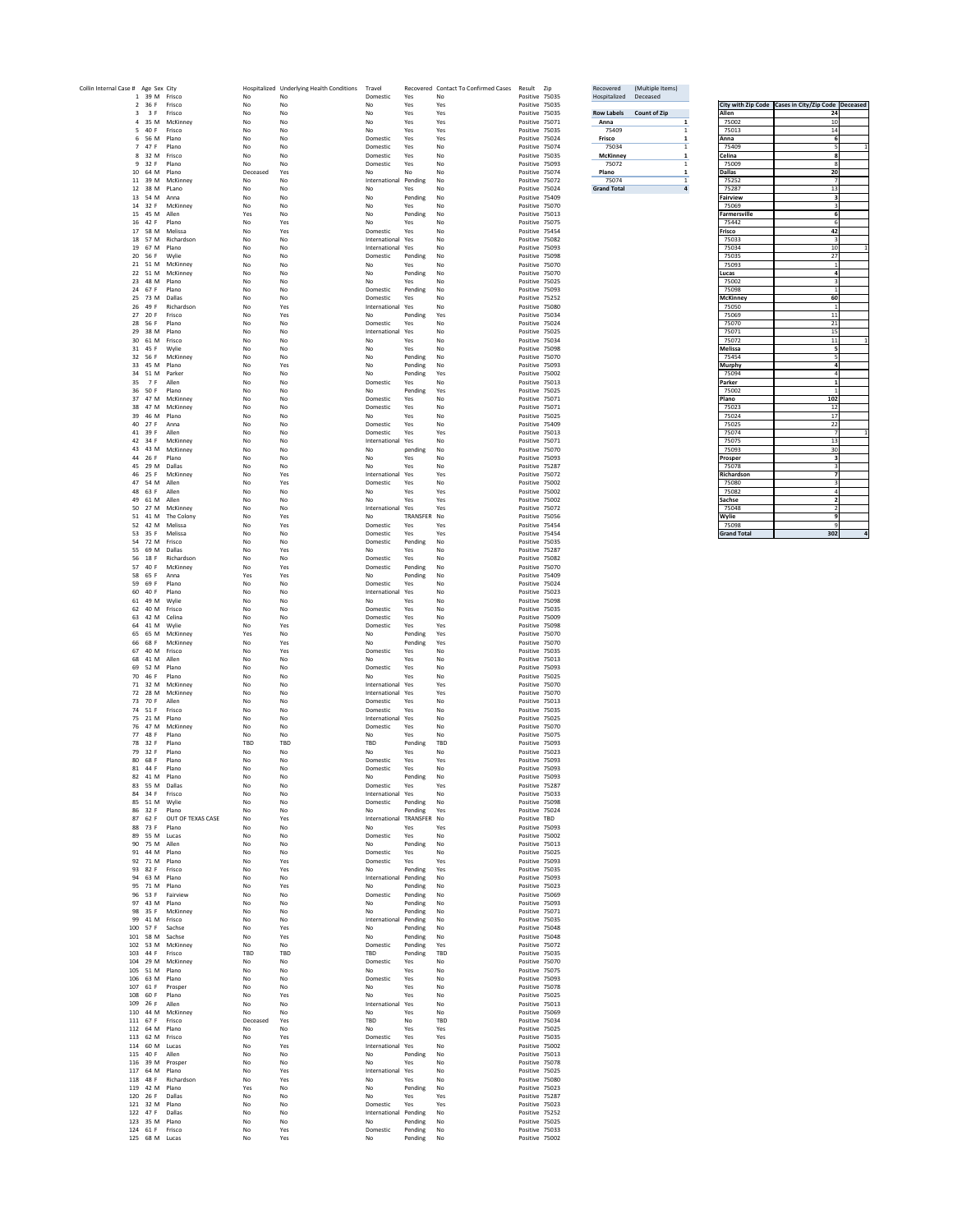| Collin Internal Case # Age Sex City |         |                                   |                                       |                  | Hospitalized Underlying Health Conditions | Travel                                 |                    | Recovered Contact To Confirmed Cases | Result Zip                       | Recovered                | (Multiple Items)    |                  |                              |                                                        |  |
|-------------------------------------|---------|-----------------------------------|---------------------------------------|------------------|-------------------------------------------|----------------------------------------|--------------------|--------------------------------------|----------------------------------|--------------------------|---------------------|------------------|------------------------------|--------------------------------------------------------|--|
|                                     |         | 1 39 M Frisco<br>2 36 F Frisco    |                                       | No.<br>No        | No<br>No                                  | Domestic<br>No                         | Yes<br>Yes         | No<br>Yes                            | Positive 75035<br>Positive 75035 | Hospitalized             | Deceased            |                  |                              | City with Zip Code   Cases in City/Zip Code   Deceased |  |
|                                     |         | 3 3 F Frisco                      |                                       | No               | No                                        | No                                     | Yes                | Yes                                  | Positive 75035                   | <b>Row Labels</b>        | <b>Count of Zip</b> |                  | Allen                        | 24                                                     |  |
|                                     |         | 5 40 F Frisco                     | 4 35 M McKinney                       | No<br>No         | No.<br>No                                 | No<br>No                               | Yes<br>Yes         | Yes<br>Yes                           | Positive 75071<br>Positive 75035 | Anna<br>75409            |                     |                  | 75002<br>75013               | 10<br>14                                               |  |
|                                     |         | 6 56 M Plano                      |                                       | No               | No                                        | Domestic                               | Yes                | Yes                                  | Positive 75024                   | <b>Frisco</b>            |                     |                  | Anna                         |                                                        |  |
|                                     | 7 47 F  | 8 32 M Frisco                     | Plano                                 | No<br>No         | No<br>No                                  | Domestic<br>Domestic                   | Yes<br>Yes         | No<br>No                             | Positive 75074<br>Positive 75035 | 75034<br><b>McKinney</b> |                     |                  | 75409<br>Celina              |                                                        |  |
|                                     |         | 9 32 F                            | Plano                                 | No               | No                                        | Domestic                               | Yes                | No                                   | Positive 75093                   | 75072                    |                     |                  | 75009                        |                                                        |  |
|                                     |         | 10 64 M Plano                     |                                       | Deceased         | Yes                                       | No                                     | No                 | No                                   | Positive 75074                   | Plano<br>75074           |                     |                  | <b>Dallas</b><br>75252       | 20                                                     |  |
|                                     |         | 12 38 M PLano                     | 11 39 M McKinney                      | No<br>No         | No<br>No                                  | International<br>No                    | Pending<br>Yes     | No<br>No                             | Positive 75072<br>Positive 75024 | <b>Grand Total</b>       |                     | $\boldsymbol{4}$ | 75287                        | 13                                                     |  |
|                                     |         | 13 54 M Anna                      |                                       | No               | No                                        | No                                     | Pending            | No                                   | Positive 75409                   |                          |                     |                  | <b>Fairview</b>              |                                                        |  |
|                                     |         | 15 45 M Allen                     | 14 32 F McKinney                      | No<br>Yes        | No<br>No                                  | No<br>No                               | Yes<br>Pending     | No<br>No                             | Positive 75070<br>Positive 75013 |                          |                     |                  | 75069<br><b>Farmersville</b> |                                                        |  |
|                                     |         | 16 42 F Plano                     |                                       | No               | Yes                                       | No                                     | Yes                | No                                   | Positive 75075                   |                          |                     |                  | 75442                        |                                                        |  |
|                                     |         |                                   | 17 58 M Melissa<br>18 57 M Richardson | No               | Yes                                       | Domestic                               | Yes                | No                                   | Positive 75454                   |                          |                     |                  | <b>Frisco</b><br>75033       | 42                                                     |  |
|                                     |         | 19 67 M Plano                     |                                       | No<br>No         | No<br>No                                  | International Yes<br>International Yes |                    | No<br>No                             | Positive 75082<br>Positive 75093 |                          |                     |                  | 75034                        | 10                                                     |  |
|                                     |         | 20 56 F                           | Wylie                                 | No               | No                                        | Domestic                               | Pending            | No                                   | Positive 75098                   |                          |                     |                  | 75035                        | 27                                                     |  |
|                                     |         |                                   | 21 51 M McKinney<br>22 51 M McKinney  | No<br>No         | No<br>No                                  | No<br>No                               | Yes<br>Pending     | No<br>No                             | Positive 75070<br>Positive 75070 |                          |                     |                  | 75093<br>Lucas               |                                                        |  |
|                                     |         | 23 48 M Plano                     |                                       | No               | No                                        | No                                     | Yes                | No                                   | Positive 75025                   |                          |                     |                  | 75002                        |                                                        |  |
|                                     |         | 24 67 F<br>25 73 M Dallas         | Plano                                 | No               | No                                        | Domestic                               | Pending            | No                                   | Positive 75093                   |                          |                     |                  | 75098                        | 60                                                     |  |
|                                     |         | 26 49 F                           | Richardson                            | No<br>No         | No<br>Yes                                 | Domestic<br>International Yes          | Yes                | No<br>No                             | Positive 75252<br>Positive 75080 |                          |                     |                  | <b>McKinney</b><br>75050     |                                                        |  |
|                                     |         | 27 20 F                           | Frisco                                | No               | Yes                                       | No                                     | Pending            | Yes                                  | Positive 75034                   |                          |                     |                  | 75069                        | 11                                                     |  |
|                                     |         | 28 56 F<br>29 38 M Plano          | Plano                                 | No<br>No         | No.<br>No                                 | Domestic<br>International              | Yes<br>Yes         | No<br>No                             | Positive 75024<br>Positive 75025 |                          |                     |                  | 75070<br>75071               | 21<br>15                                               |  |
|                                     |         | 30 61 M Frisco                    |                                       | No               | No                                        | No                                     | Yes                | No                                   | Positive 75034                   |                          |                     |                  | 75072                        | 11                                                     |  |
|                                     |         | 31 45 F Wylie                     | 32 56 F McKinney                      | No<br>No         | No<br>No                                  | No<br>No                               | Yes<br>Pending     | No<br>No                             | Positive 75098<br>Positive 75070 |                          |                     |                  | Melissa<br>75454             |                                                        |  |
|                                     |         | 33 45 M Plano                     |                                       | No               | Yes                                       | No                                     | Pending            | No                                   | Positive 75093                   |                          |                     |                  | <b>Murphy</b>                |                                                        |  |
|                                     |         |                                   | 34 51 M Parker                        | No               | No                                        | No                                     | Pending            | Yes                                  | Positive 75002                   |                          |                     |                  | 75094                        |                                                        |  |
|                                     |         | 35 7 F<br>36 50 F Plano           | Allen                                 | No<br>No         | No<br>No                                  | Domestic<br>No                         | Yes<br>Pending     | No<br>Yes                            | Positive 75013<br>Positive 75025 |                          |                     |                  | <b>Parker</b><br>75002       |                                                        |  |
|                                     |         |                                   | 37 47 M McKinney                      | No               | No                                        | Domestic                               | Yes                | No                                   | Positive 75071                   |                          |                     |                  | Plano                        | 102                                                    |  |
|                                     |         | 39 46 M Plano                     | 38 47 M McKinney                      | No<br>No         | No<br>No                                  | Domestic<br>No                         | Yes<br>Yes         | No<br>No                             | Positive 75071<br>Positive 75025 |                          |                     |                  | 75023<br>75024               | 12<br>17                                               |  |
|                                     |         | 40 27 F                           | Anna                                  | No               | No                                        | Domestic                               | Yes                | No                                   | Positive 75409                   |                          |                     |                  | 75025                        | 22                                                     |  |
|                                     |         | 41 39 F                           | Allen                                 | No               | No                                        | Domestic                               | Yes                | Yes                                  | Positive 75013                   |                          |                     |                  | 75074                        |                                                        |  |
|                                     |         |                                   | 42 34 F McKinney<br>43 43 M McKinney  | No<br>No         | No<br>No                                  | International<br>No                    | Yes<br>pending     | No<br>No                             | Positive 75071<br>Positive 75070 |                          |                     |                  | 75075<br>75093               | 13<br>30                                               |  |
|                                     |         | 44 26 F Plano                     |                                       | No               | No                                        | No                                     | Yes                | No                                   | Positive 75093                   |                          |                     |                  | Prosper                      |                                                        |  |
|                                     |         | 45 29 M Dallas                    | 46 25 F McKinney                      | No               | No<br>Yes                                 | No<br>International Yes                | Yes                | No<br>Yes                            | Positive 75287<br>Positive 75072 |                          |                     |                  | 75078<br>Richardson          |                                                        |  |
|                                     |         | 47 54 M Allen                     |                                       | No<br>No         | Yes                                       | Domestic                               | Yes                | No                                   | Positive 75002                   |                          |                     |                  | 75080                        |                                                        |  |
|                                     |         | 48 63 F                           | Allen                                 | No               | No                                        | No                                     | Yes                | Yes                                  | Positive 75002                   |                          |                     |                  | 75082                        |                                                        |  |
|                                     |         | 49 61 M Allen                     | 50 27 M McKinney                      | No<br>No         | No<br>No                                  | No<br>International                    | Yes<br>Yes         | Yes<br>Yes                           | Positive 75002<br>Positive 75072 |                          |                     |                  | <b>Sachse</b><br>75048       |                                                        |  |
|                                     |         |                                   | 51 41 M The Colony                    | No               | Yes                                       | No                                     | TRANSFER No        |                                      | Positive 75056                   |                          |                     |                  | Wylie                        |                                                        |  |
|                                     |         |                                   | 52 42 M Melissa<br>53 35 F Melissa    | No<br>No         | Yes<br>No                                 | Domestic<br>Domestic                   | Yes<br>Yes         | Yes<br>Yes                           | Positive 75454<br>Positive 75454 |                          |                     |                  | 75098<br><b>Grand Total</b>  | 302                                                    |  |
|                                     |         | 54 72 M Frisco                    |                                       | No               | No                                        | Domestic                               | Pending            | No                                   | Positive 75035                   |                          |                     |                  |                              |                                                        |  |
|                                     |         |                                   | 55 69 M Dallas<br>Richardson          | No               | Yes                                       | No                                     | Yes                | No                                   | Positive 75287                   |                          |                     |                  |                              |                                                        |  |
|                                     |         | 56 18 F                           |                                       | No               |                                           | Domestic                               | Yes                | No                                   | Positive 75082                   |                          |                     |                  |                              |                                                        |  |
|                                     |         |                                   |                                       |                  | No<br>Yes                                 |                                        |                    |                                      |                                  |                          |                     |                  |                              |                                                        |  |
|                                     |         | 58 65 F                           | 57 40 F McKinney<br>Anna              | No<br>Yes        | Yes                                       | Domestic<br>No                         | Pending<br>Pending | No<br>No                             | Positive 75070<br>Positive 75409 |                          |                     |                  |                              |                                                        |  |
|                                     | 59 69   |                                   | Plano                                 | No               | No                                        | Domestic                               | Yes                | No                                   | Positive 75024                   |                          |                     |                  |                              |                                                        |  |
|                                     |         | 60 40 F<br>61 49 M Wylie          | Plano                                 | No<br>No         | No<br>No                                  | International Yes<br>No                | Yes                | No<br>No                             | Positive 75023<br>Positive 75098 |                          |                     |                  |                              |                                                        |  |
|                                     |         | 62 40 M Frisco                    |                                       | No.              | No                                        | Domestic                               | Yes                | No                                   | Positive 75035                   |                          |                     |                  |                              |                                                        |  |
|                                     |         | 63 42 M Celina<br>64 41 M Wylie   |                                       | No               | No<br>Yes                                 | Domestic<br>Domestic                   | Yes<br>Yes         | No                                   | Positive 75009<br>Positive 75098 |                          |                     |                  |                              |                                                        |  |
|                                     |         |                                   | 65 65 M McKinney                      | No<br>Yes        | No                                        | No                                     | Pending            | Yes<br>Yes                           | Positive 75070                   |                          |                     |                  |                              |                                                        |  |
|                                     |         |                                   | 66 68 F McKinney                      | No               | Yes                                       | No                                     | Pending            | Yes                                  | Positive 75070                   |                          |                     |                  |                              |                                                        |  |
|                                     |         | 67 40 M Frisco<br>68 41 M Allen   |                                       | No<br>No         | Yes<br>No                                 | Domestic<br>No                         | Yes<br>Yes         | No<br>No                             | Positive 75035<br>Positive 75013 |                          |                     |                  |                              |                                                        |  |
|                                     |         | 69 52 M Plano                     |                                       | No               | No                                        | Domestic                               | Yes                | No                                   | Positive 75093                   |                          |                     |                  |                              |                                                        |  |
|                                     |         | 70 46 F Plano                     | 71 32 M McKinney                      | No<br>No         | No<br>No                                  | No<br>International Yes                | Yes                | No<br>Yes                            | Positive 75025<br>Positive 75070 |                          |                     |                  |                              |                                                        |  |
|                                     |         |                                   | 72 28 M McKinney                      | No               | No                                        | International Yes                      |                    | Yes                                  | Positive 75070                   |                          |                     |                  |                              |                                                        |  |
|                                     |         | 73 70 F Allen                     |                                       | No               | No                                        | Domestic                               | Yes                | No                                   | Positive 75013                   |                          |                     |                  |                              |                                                        |  |
|                                     |         | 74 51 F Frisco<br>75 21 M Plano   |                                       | No<br>No         | No<br>No                                  | Domestic<br>International Yes          | Yes                | No<br>No                             | Positive 75035<br>Positive 75025 |                          |                     |                  |                              |                                                        |  |
|                                     |         |                                   | 76 47 M McKinney                      | No               | No                                        | Domestic                               | Yes                | No                                   | Positive 75070                   |                          |                     |                  |                              |                                                        |  |
|                                     | 78 32 F | 77 48 F Plano                     | Plano                                 | No<br><b>TBD</b> | No<br>TBD                                 | No<br>TBD                              | Yes<br>Pending     | No<br>TBD                            | Positive 75075<br>Positive 75093 |                          |                     |                  |                              |                                                        |  |
|                                     |         | 79 32 F Plano                     |                                       | No               | No                                        | No                                     | Yes                | No                                   | Positive 75023                   |                          |                     |                  |                              |                                                        |  |
|                                     |         | 80 68 F<br>81 44 F                | Plano<br>Plano                        | No<br>No         | No<br>No                                  | Domestic<br>Domestic                   | Yes<br>Yes         | Yes<br>No                            | Positive 75093<br>Positive 75093 |                          |                     |                  |                              |                                                        |  |
|                                     |         | 82 41 M Plano                     |                                       | No               | No                                        | No                                     | Pending            | No                                   | Positive 75093                   |                          |                     |                  |                              |                                                        |  |
|                                     |         | 83 55 M Dallas                    |                                       | No               | No                                        | Domestic                               | Yes                | Yes                                  | Positive 75287                   |                          |                     |                  |                              |                                                        |  |
|                                     |         | 84 34 F Frisco<br>85 51 M Wylie   |                                       | No<br>No         | No<br>No                                  | International Yes<br>Domestic          | Pending            | No<br>No                             | Positive 75033<br>Positive 75098 |                          |                     |                  |                              |                                                        |  |
|                                     |         | 86 32 F Plano                     |                                       | No               | No                                        | No                                     | Pending            | Yes                                  | Positive 75024                   |                          |                     |                  |                              |                                                        |  |
|                                     |         | 88 73 F Plano                     | 87 62 F OUT OF TEXAS CASE             | No<br>No         | Yes<br>No                                 | International TRANSFER No<br>No        | Yes                | Yes                                  | Positive TBD<br>Positive 75093   |                          |                     |                  |                              |                                                        |  |
|                                     |         | 89 55 M Lucas                     |                                       | No               | No                                        | Domestic                               | Yes                | No                                   | Positive 75002                   |                          |                     |                  |                              |                                                        |  |
|                                     |         | 90 75 M Allen<br>91 44 M Plano    |                                       | No<br>No         | No<br>No                                  | No<br>Domestic                         | Pending<br>Yes     | No<br>No                             | Positive 75013<br>Positive 75025 |                          |                     |                  |                              |                                                        |  |
|                                     |         | 92 71 M Plano                     |                                       | No               | Yes                                       | Domestic                               | Yes                | Yes                                  | Positive 75093                   |                          |                     |                  |                              |                                                        |  |
|                                     |         | 93 82 F Frisco                    |                                       | No               | Yes                                       | No                                     | Pending            | Yes                                  | Positive 75035                   |                          |                     |                  |                              |                                                        |  |
|                                     |         | 94 63 M Plano<br>95 71 M Plano    |                                       | No<br>No         | No<br>Yes                                 | International Pending<br>No            | Pending            | No<br>No                             | Positive 75093<br>Positive 75023 |                          |                     |                  |                              |                                                        |  |
|                                     |         |                                   | 96 53 F Fairview                      | No               | No                                        | Domestic                               | Pending            | No                                   | Positive 75069                   |                          |                     |                  |                              |                                                        |  |
|                                     |         | 97 43 M Plano                     | 98 35 F McKinney                      | No<br>No         | No<br>No                                  | No<br>No                               | Pending<br>Pending | No<br>No                             | Positive 75093<br>Positive 75071 |                          |                     |                  |                              |                                                        |  |
|                                     |         | 99 41 M Frisco                    |                                       | No               | No                                        | International                          | Pending            | No                                   | Positive 75035                   |                          |                     |                  |                              |                                                        |  |
|                                     |         |                                   | 100 57 F Sachse                       | No               | Yes                                       | No                                     | Pending            | No                                   | Positive 75048                   |                          |                     |                  |                              |                                                        |  |
|                                     |         |                                   | 101 58 M Sachse<br>102 53 M McKinney  | No<br>No         | Yes<br>No                                 | No<br>Domestic                         | Pending<br>Pending | No<br>Yes                            | Positive 75048<br>Positive 75072 |                          |                     |                  |                              |                                                        |  |
|                                     |         | 103 44 F Frisco                   |                                       | <b>TBD</b>       | TBD                                       | TBD                                    | Pending            | TBD                                  | Positive 75035                   |                          |                     |                  |                              |                                                        |  |
|                                     |         | 105 51 M Plano                    | 104 29 M McKinney                     | No<br>No         | No<br>No                                  | Domestic<br>No                         | Yes<br>Yes         | No<br>No                             | Positive 75070<br>Positive 75075 |                          |                     |                  |                              |                                                        |  |
|                                     |         | 106 63 M Plano                    |                                       | No               | No                                        | Domestic                               | Yes                | No                                   | Positive 75093                   |                          |                     |                  |                              |                                                        |  |
|                                     |         | 107 61 F<br>108 60 F Plano        | Prosper                               | No<br>No         | No<br>Yes                                 | No<br>No                               | Yes<br>Yes         | No                                   | Positive 75078<br>Positive 75025 |                          |                     |                  |                              |                                                        |  |
|                                     |         | 109 26 F                          | Allen                                 | No               | No                                        | International Yes                      |                    | No<br>No                             | Positive 75013                   |                          |                     |                  |                              |                                                        |  |
|                                     |         |                                   | 110 44 M McKinney                     | No               | No                                        | No                                     | Yes                | No                                   | Positive 75069                   |                          |                     |                  |                              |                                                        |  |
|                                     |         | 111 67 F Frisco<br>112 64 M Plano |                                       | Deceased<br>No   | Yes<br>No                                 | TBD<br>No                              | No<br>Yes          | <b>TBD</b><br>Yes                    | Positive 75034<br>Positive 75025 |                          |                     |                  |                              |                                                        |  |
|                                     |         | 113 62 M Frisco                   |                                       | No               | Yes                                       | Domestic                               | Yes                | Yes                                  | Positive 75035                   |                          |                     |                  |                              |                                                        |  |
|                                     |         | 114 60 M Lucas<br>115 40 F Allen  |                                       | No<br>No         | Yes<br>No                                 | International Yes<br>No                | Pending            | No<br>No                             | Positive 75002<br>Positive 75013 |                          |                     |                  |                              |                                                        |  |
|                                     |         |                                   | 116 39 M Prosper                      | No               | No                                        | No                                     | Yes                | No                                   | Positive 75078                   |                          |                     |                  |                              |                                                        |  |
|                                     |         | 117 64 M Plano                    |                                       | No               | Yes                                       | International Yes                      |                    | No                                   | Positive 75025                   |                          |                     |                  |                              |                                                        |  |
|                                     |         | 119  42  M  Plano                 | 118 48 F Richardson                   | No<br>Yes        | Yes<br>No                                 | No<br>No                               | Yes<br>Pending     | No<br>No                             | Positive 75080<br>Positive 75023 |                          |                     |                  |                              |                                                        |  |
|                                     |         | 120 26 F Dallas                   |                                       | No               | No                                        | No                                     | Yes                | Yes                                  | Positive 75287                   |                          |                     |                  |                              |                                                        |  |
|                                     |         | 121 32 M Plano<br>122 47 F Dallas |                                       | No<br>No         | No<br>No                                  | Domestic<br>International Pending      | Yes                | Yes<br>No                            | Positive 75023<br>Positive 75252 |                          |                     |                  |                              |                                                        |  |
|                                     |         | 123 35 M Plano<br>124 61 F Frisco |                                       | No<br>No         | No<br>Yes                                 | No<br>Domestic                         | Pending<br>Pending | No<br>No                             | Positive 75025<br>Positive 75033 |                          |                     |                  |                              |                                                        |  |

|                     | City with Zip Code   Cases in City/Zip Code   Deceased |              |
|---------------------|--------------------------------------------------------|--------------|
| <b>Allen</b>        | 24                                                     |              |
| 75002               | 10                                                     |              |
| 75013               | 14                                                     |              |
| Anna                | 6                                                      |              |
| 75409               | 5                                                      | 1            |
| Celina              | 8                                                      |              |
| 75009               | 8                                                      |              |
| <b>Dallas</b>       | 20                                                     |              |
| 75252               | 7                                                      |              |
| 75287               | 13                                                     |              |
| <b>Fairview</b>     | 3                                                      |              |
| 75069               | 3                                                      |              |
| <b>Farmersville</b> | 6                                                      |              |
| 75442               | 6                                                      |              |
| <b>Frisco</b>       | 42                                                     |              |
| 75033               | 3                                                      |              |
| 75034               | 10                                                     | $\mathbf{1}$ |
| 75035               | 27                                                     |              |
| 75093               | 1                                                      |              |
|                     |                                                        |              |
| Lucas               | 4                                                      |              |
| 75002               | 3                                                      |              |
| 75098               | $\overline{1}$                                         |              |
| <b>McKinney</b>     | 60                                                     |              |
| 75050               | $\mathbf{1}$                                           |              |
| 75069               | 11                                                     |              |
| 75070               | 21                                                     |              |
| 75071               | 15                                                     |              |
| 75072               | 11                                                     | 1            |
| <b>Melissa</b>      | 5                                                      |              |
| 75454               | 5                                                      |              |
| <b>Murphy</b>       | 4                                                      |              |
| 75094               | 4                                                      |              |
| <b>Parker</b>       | 1                                                      |              |
| 75002               | $\mathbf{1}$                                           |              |
| Plano               | 102                                                    |              |
| 75023               | 12                                                     |              |
| 75024               | 17                                                     |              |
| 75025               | 22                                                     |              |
| 75074               | 7                                                      | $\mathbf{1}$ |
| 75075               | 13                                                     |              |
| 75093               | 30                                                     |              |
| Prosper             | 3                                                      |              |
| 75078               | 3                                                      |              |
| Richardson          | 7                                                      |              |
|                     | 3                                                      |              |
| 75080               |                                                        |              |
| 75082               | 4                                                      |              |
| <b>Sachse</b>       | $\overline{\mathbf{2}}$                                |              |
| 75048               | $\overline{2}$                                         |              |
| Wylie               | 9                                                      |              |
| 75098               | 9                                                      |              |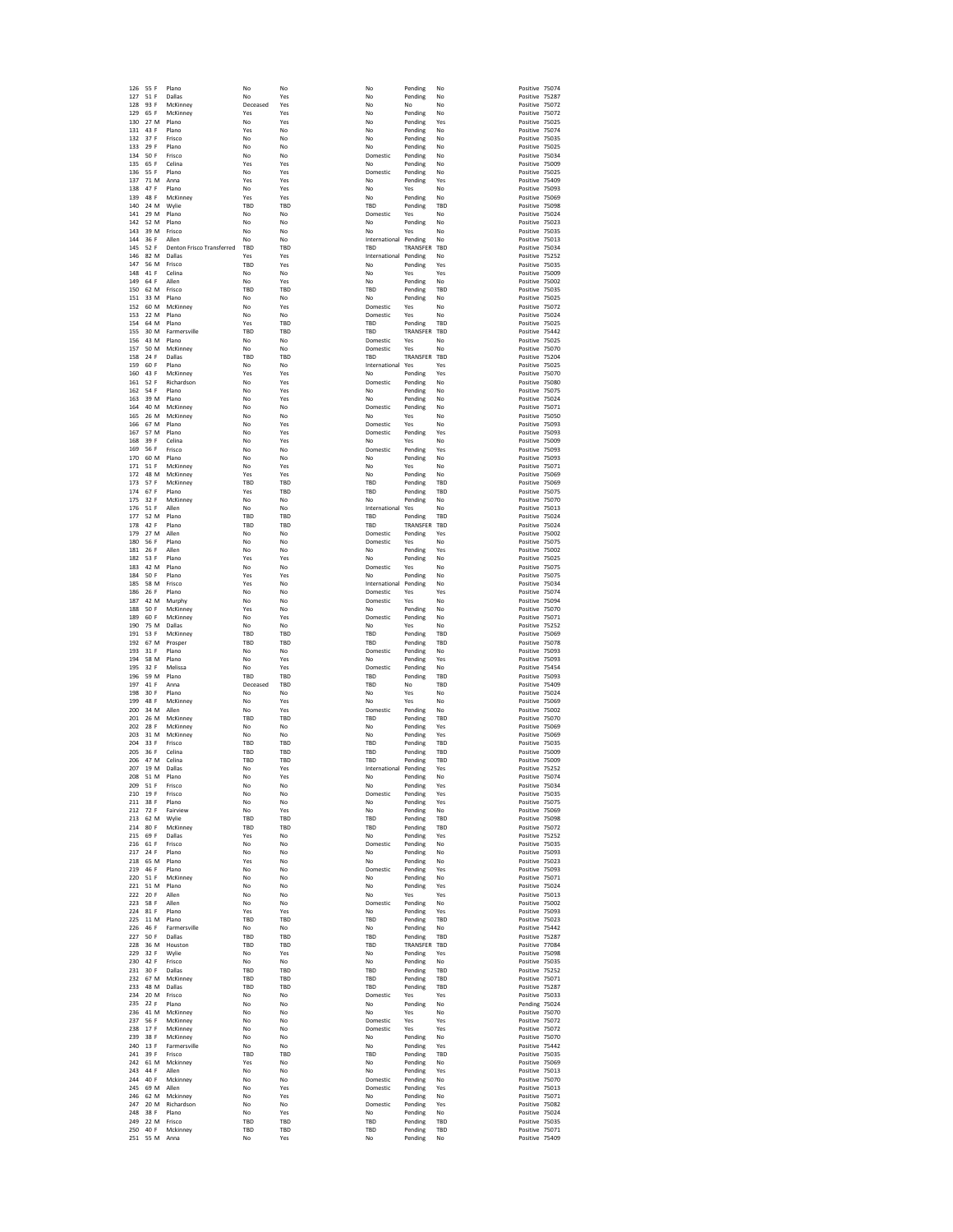|            | 55 F             | Plano                            | No                | No                | No                    | Pending            | No                       | Positive 75074                   |                |
|------------|------------------|----------------------------------|-------------------|-------------------|-----------------------|--------------------|--------------------------|----------------------------------|----------------|
| 126<br>127 | 51 F             | <b>Dallas</b>                    | No                | Yes               | No                    | Pending            | No                       | Positive 75287                   |                |
| 128        | 93 F             | McKinney                         | Deceased          | Yes               | No                    | No                 | No                       | Positive 75072                   |                |
| 129        | 65 F             | McKinney                         | Yes               | Yes               | No                    | Pending            | No                       | Positive 75072                   |                |
| 130        | 27 M             | Plano                            | No                | Yes               | No                    | Pending            | Yes                      | Positive 75025                   |                |
| 131        | 43 F             | Plano                            | Yes               | No                | No                    | Pending            | No                       | Positive 75074                   |                |
| 132        | 37 F             | Frisco                           | No                | No                | No                    | Pending            | No                       | Positive 75035                   |                |
| 133<br>134 | 29 F<br>50 F     | Plano<br>Frisco                  | No<br>No          | No<br>No          | No<br>Domestic        | Pending<br>Pending | No<br>No                 | Positive 75025<br>Positive 75034 |                |
| 135        | 65 F             | Celina                           | Yes               | Yes               | No                    | Pending            | No                       | Positive 75009                   |                |
| 136        | 55 F             | Plano                            | No                | Yes               | Domestic              | Pending            | No                       | Positive 75025                   |                |
| 137        | 71 M             | Anna                             | Yes               | Yes               | No                    | Pending            | Yes                      | Positive 75409                   |                |
| 138        | 47 F             | Plano                            | No                | Yes               | No                    | Yes                | No                       | Positive 75093                   |                |
| 139        | 48 F             | McKinney                         | Yes               | Yes               | No                    | Pending            | No                       | Positive 75069                   |                |
| 140        | 24 M             | Wylie                            | TBD               | TBD               | TBD                   | Pending            | <b>TBD</b>               | Positive 75098                   |                |
| 141        | 29 M             | Plano                            | No                | No                | Domestic              | Yes                | No                       | Positive 75024                   |                |
| 142        | 52 M             | Plano                            | No                | No                | No                    | Pending            | No                       | Positive 75023                   |                |
| 143        | 39 M             | Frisco                           | No                | No                | No                    | Yes                | No                       | Positive 75035                   |                |
| 144        | 36 F             | Allen                            | No                | No                | International Pending |                    | No                       | Positive 75013                   |                |
| 145        | 52 F             | <b>Denton Frisco Transferred</b> | TBD               | TBD               | <b>TBD</b>            | TRANSFER           | <b>TBD</b>               | Positive 75034                   |                |
| 146        | 82 M<br>56 M     | Dallas                           | Yes               | Yes               | International Pending |                    | No                       | Positive 75252                   |                |
| 147<br>148 | 41 F             | Frisco<br>Celina                 | <b>TBD</b><br>No  | Yes<br>No         | No<br>No              | Pending            | Yes<br>Yes               | Positive 75035<br>Positive 75009 |                |
| 149        | 64 F             | Allen                            | No                | Yes               | No                    | Yes<br>Pending     | No                       | Positive 75002                   |                |
| 150        | 62 M             | Frisco                           | <b>TBD</b>        | <b>TBD</b>        | TBD                   | Pending            | <b>TBD</b>               | Positive 75035                   |                |
| 151        | 33 M             | Plano                            | No                | No                | No                    | Pending            | No                       | Positive 75025                   |                |
| 152        | 60 M             | McKinney                         | No                | Yes               | Domestic              | Yes                | No                       | Positive 75072                   |                |
| 153        | 22 M             | Plano                            | No                | No                | Domestic              | Yes                | No                       | Positive 75024                   |                |
| 154        | 64 M             | Plano                            | Yes               | TBD               | TBD                   | Pending            | <b>TBD</b>               | Positive 75025                   |                |
| 155        | 30 M             | Farmersville                     | TBD               | <b>TBD</b>        | TBD                   | TRANSFER           | TBD                      | Positive 75442                   |                |
| 156        | 43 M             | Plano                            | No                | No                | Domestic              | Yes                | No                       | Positive 75025                   |                |
| 157        |                  | 50 M McKinney                    | No                | No                | Domestic              | Yes                | No.                      | Positive 75070                   |                |
| 158        | 24 F             | Dallas                           | <b>TBD</b>        | TBD               | TBD                   | TRANSFER TBD       |                          | Positive 75204                   |                |
| 159        | 60 F             | Plano                            | No                | No                | International Yes     |                    | Yes                      | Positive 75025                   |                |
| 160<br>161 | 43 F<br>52 F     | McKinney<br>Richardson           | Yes<br>No         | Yes<br>Yes        | No.<br>Domestic       | Pending            | Yes<br>No                | Positive 75070<br>Positive 75080 |                |
| 162        | 54 F             | Plano                            | No                | Yes               | No                    | Pending<br>Pending | No                       | Positive 75075                   |                |
| 163        | 39 M             | Plano                            | No                | Yes               | No                    | Pending            | No                       | Positive 75024                   |                |
| 164        | 40 M             | McKinney                         | No                | No                | Domestic              | Pending            | No                       | Positive 75071                   |                |
| 165        | 26 M             | McKinney                         | No                | No                | No                    | Yes                | No                       | Positive 75050                   |                |
| 166        | 67 M             | Plano                            | No                | Yes               | Domestic              | Yes                | No                       | Positive 75093                   |                |
| 167        | 57 M             | Plano                            | No                | Yes               | Domestic              | Pending            | Yes                      | Positive 75093                   |                |
| 168        | 39 F             | Celina                           | No                | Yes               | No                    | Yes                | No                       | Positive 75009                   |                |
| 169        | 56 F             | Frisco                           | No                | No                | Domestic              | Pending            | Yes                      | Positive 75093                   |                |
| 170        | 60 M             | Plano                            | No                | No                | No                    | Pending            | No                       | Positive 75093                   |                |
| 171        | 51 F             | McKinney                         | No                | Yes               | No                    | Yes                | No                       | Positive 75071                   |                |
| 172        | 48 M             | McKinney                         | Yes               | Yes               | No                    | Pending            | No                       | Positive 75069                   |                |
| 173        | 57 F             | McKinney                         | TBD               | TBD               | TBD                   | Pending            | <b>TBD</b>               | Positive 75069                   |                |
| 174        | 67 F             | Plano                            | Yes               | <b>TBD</b>        | TBD                   | Pending            | <b>TBD</b>               | Positive 75075                   |                |
| 175        | 32 F<br>176 51 F | McKinney<br>Allen                | No<br>No          | No                | No<br>International   | Pending            | No<br>No                 | Positive 75070<br>Positive 75013 |                |
| 177        | 52 M             | Plano                            | <b>TBD</b>        | No<br><b>TBD</b>  | TBD                   | Yes<br>Pending     | <b>TBD</b>               | Positive 75024                   |                |
| 178        | 42 F             | Plano                            | TBD               | TBD               | TBD                   | TRANSFER TBD       |                          | Positive 75024                   |                |
| 179        | 27 M             | Allen                            | No                | No                | Domestic              | Pending            | Yes                      | Positive 75002                   |                |
| 180        | 56 F             | Plano                            | No                | No                | Domestic              | Yes                | No                       | Positive 75075                   |                |
| 181        | 26 F             | Allen                            | No                | No                | No                    | Pending            | Yes                      | Positive 75002                   |                |
| 182        | 53 F             | Plano                            | Yes               | Yes               | No                    | Pending            | No                       | Positive 75025                   |                |
| 183        | 42 M             | Plano                            | No                | No                | Domestic              | Yes                | No                       | Positive 75075                   |                |
| 184        | 50 F             | Plano                            | Yes               | Yes               | No                    | Pending            | No                       | Positive 75075                   |                |
| 185        | 58 M             | Frisco                           | Yes               | No                | International Pending |                    | No                       | Positive 75034                   |                |
| 186        | 26 F             | Plano                            | No                | No                | Domestic              | Yes                | Yes                      | Positive 75074                   |                |
| 187<br>188 | 42 M<br>50 F     | Murphy<br>McKinney               | No<br>Yes         | No<br>No          | Domestic<br>No        | Yes<br>Pending     | No<br>No                 | Positive 75094<br>Positive 75070 |                |
| 189        | 60 F             | McKinney                         | No                | Yes               | Domestic              | Pending            | No                       | Positive 75071                   |                |
| 190        | 75 M             | Dallas                           | No                | No                | No                    | Yes                | No                       | Positive 75252                   |                |
| 191        | 53 F             | McKinney                         | TBD               | TBD               | TBD                   | Pending            | <b>TBD</b>               | Positive 75069                   |                |
| 192        | 67 M             | Prosper                          | TBD               | TBD               | <b>TBD</b>            | Pending            | <b>TBD</b>               | Positive 75078                   |                |
| 193        | 31 F             | Plano                            | No                | No                | Domestic              | Pending            | No                       | Positive 75093                   |                |
| 194        | 58 M             | Plano                            | No                | Yes               | No                    | Pending            | Yes                      | Positive 75093                   |                |
| 195        |                  |                                  | No                | Yes               | Domestic              | Pending            | No                       | Positive 75454                   |                |
|            | 32 F             | Melissa                          |                   |                   |                       |                    |                          |                                  |                |
| 196        | 59 M             | Plano                            | TBD               | TBD               | TBD                   | Pending            | <b>TBD</b>               |                                  | Positive 75093 |
| 197        | 41 F             | Anna                             | Deceased          | TBD               | TBD                   | No                 | TBD                      | Positive 75409                   |                |
| 198        | 30 F             | Plano                            | No                | No                | No                    | Yes                | No                       | Positive 75024                   |                |
| 199        | 48 F             | McKinney                         | No                | Yes               | No                    | Yes                | No                       | Positive 75069                   |                |
| 200        | 34 M             | Allen                            | No                | Yes               | Domestic              | Pending            | No                       | Positive 75002                   |                |
| 201        | 26 M             | McKinney                         | <b>TBD</b>        | <b>TBD</b>        | <b>TBD</b>            | Pending            | <b>TBD</b>               | Positive 75070                   |                |
| 202        | 28 F             | McKinney                         | No                | No                | No                    | Pending            | Yes                      | Positive 75069                   |                |
| 203<br>204 | 31 M             | McKinney                         | No<br><b>TBD</b>  | No                | No<br>TBD             | Pending            | Yes                      | Positive 75069                   |                |
| 205        | 33 F<br>36 F     | Frisco<br>Celina                 | TBD               | TBD<br>TBD        | TBD                   | Pending<br>Pending | <b>TBD</b><br><b>TBD</b> | Positive 75035<br>Positive 75009 |                |
| 206        | 47 M             | Celina                           | TBD               | TBD               | TBD                   | Pending            | <b>TBD</b>               | Positive 75009                   |                |
| 207        | 19 M             | Dallas                           | No                | Yes               | International Pending |                    | Yes                      | Positive 75252                   |                |
| 208        | 51 M             | Plano                            | No                | Yes               | No                    | Pending            | No                       | Positive 75074                   |                |
| 209        | 51 F             | Frisco                           | No                | No                | No                    | Pending            | Yes                      | Positive 75034                   |                |
| 210        | 19 F             | Frisco                           | No                | No                | Domestic              | Pending            | Yes                      | Positive 75035                   |                |
| 211        | 38 F             | Plano                            | No                | No                | No                    | Pending            | Yes                      | Positive 75075                   |                |
| 212        | 72 F<br>62 M     | Fairview                         | No<br>TBD         | Yes<br>TBD        | No<br>TBD             | Pending            | No<br><b>TBD</b>         | Positive 75069<br>Positive 75098 |                |
| 213<br>214 | 80 F             | Wylie<br>McKinney                | TBD               | TBD               | TBD                   | Pending<br>Pending | <b>TBD</b>               | Positive 75072                   |                |
| 215        | 69 F             | Dallas                           | Yes               | No                | No                    | Pending            | Yes                      | Positive 75252                   |                |
| 216        | 61 F             | Frisco                           | No                | No                | Domestic              | Pending            | No                       | Positive 75035                   |                |
| 217        | 24 F             | Plano                            | No                | No                | No                    | Pending            | No                       | Positive 75093                   |                |
| 218        | 65 M             | Plano                            | Yes               | No                | No                    | Pending            | No                       | Positive 75023                   |                |
| 219        | 46 F             | Plano                            | No                | No                | Domestic              | Pending            | Yes                      | Positive 75093                   |                |
| 220        | 51 F             | McKinney                         | No                | No                | No                    | Pending            | No                       | Positive 75071                   |                |
| 221        | 51 M             | Plano                            | No                | No                | No                    | Pending            | Yes                      | Positive 75024                   |                |
| 222        | 20 F             | Allen                            | No                | No                | No                    | Yes                | Yes                      | Positive 75013                   |                |
| 223<br>224 | 58 F<br>81 F     | Allen                            | No                | No                | Domestic<br>No        | Pending            | No                       | Positive 75002<br>Positive 75093 |                |
| 225        | 11 M             | Plano<br>Plano                   | Yes<br><b>TBD</b> | Yes<br><b>TBD</b> | TBD                   | Pending<br>Pending | Yes<br><b>TBD</b>        | Positive 75023                   |                |
| 226        | 46 F             | Farmersville                     | No                | No                | No                    | Pending            | No                       | Positive 75442                   |                |
| 227        | 50 F             | Dallas                           | TBD               | TBD               | TBD                   | Pending            | <b>TBD</b>               | Positive 75287                   |                |
| 228        | 36 M             | Houston                          | TBD               | <b>TBD</b>        | <b>TBD</b>            | TRANSFER TBD       |                          | Positive 77084                   |                |
| 229        | 32 F             | Wylie                            | No                | Yes               | No                    | Pending            | Yes                      | Positive 75098                   |                |
| 230        | 42 F             | Frisco                           | No                | No                | No                    | Pending            | No                       | Positive 75035                   |                |
| 231        | 30 F             | <b>Dallas</b>                    | TBD               | <b>TBD</b>        | TBD                   | Pending            | <b>TBD</b>               | Positive 75252                   |                |
| 232        | 67 M             | McKinney                         | TBD               | TBD               | TBD                   | Pending            | TBD                      | Positive 75071                   |                |
| 233        | 48 M             | Dallas                           | TBD               | TBD               | TBD                   | Pending            | <b>TBD</b>               | Positive 75287                   |                |
| 234        | 20 M             | Frisco                           | No                | No                | Domestic              | Yes                | Yes                      | Positive 75033                   |                |
| 235        | 22 F             | Plano                            | No                | No                | No                    | Pending            | No                       | Pending 75024                    |                |
| 236<br>237 | 41 M<br>56 F     | McKinney                         | No<br>No          | No<br>No          | No<br>Domestic        | Yes<br>Yes         | No                       | Positive 75070                   |                |
| 238        | 17 F             | McKinney<br>McKinney             | No                | No                | Domestic              | Yes                | Yes<br>Yes               | Positive 75072<br>Positive 75072 |                |
| 239        | 38 F             | McKinney                         | No                | No                | No                    | Pending            | No                       | Positive 75070                   |                |
| 240        | 13 F             | Farmersville                     | No                | No                | No                    | Pending            | Yes                      | Positive 75442                   |                |
| 241        | 39 F             | Frisco                           | TBD               | TBD               | <b>TBD</b>            | Pending            | <b>TBD</b>               | Positive 75035                   |                |
| 242        | 61 M             | Mckinney                         | Yes               | No                | No                    | Pending            | No                       | Positive 75069                   |                |
| 243        | 44 F             | Allen                            | No                | No                | No                    | Pending            | Yes                      | Positive 75013                   |                |
| 244        | 40 F             | Mckinney                         | No                | No                | Domestic              | Pending            | No                       | Positive 75070                   |                |
| 245        | 69 M             | Allen                            | No                | Yes               | Domestic              | Pending            | Yes                      | Positive 75013                   |                |
| 246        | 62 M             | Mckinney                         | No                | Yes               | No                    | Pending            | No                       | Positive 75071                   |                |
| 247        | 20 M             | Richardson                       | No                | No                | Domestic              | Pending            | Yes                      | Positive 75082                   |                |
| 248<br>249 | 38 F<br>22 M     | Plano<br>Frisco                  | No<br>TBD         | Yes<br>TBD        | No<br>TBD             | Pending<br>Pending | No<br><b>TBD</b>         | Positive 75024<br>Positive 75035 |                |
| 250        | 40 F             | Mckinney                         | TBD               | <b>TBD</b>        | TBD                   | Pending            | <b>TBD</b>               | Positive 75071                   |                |